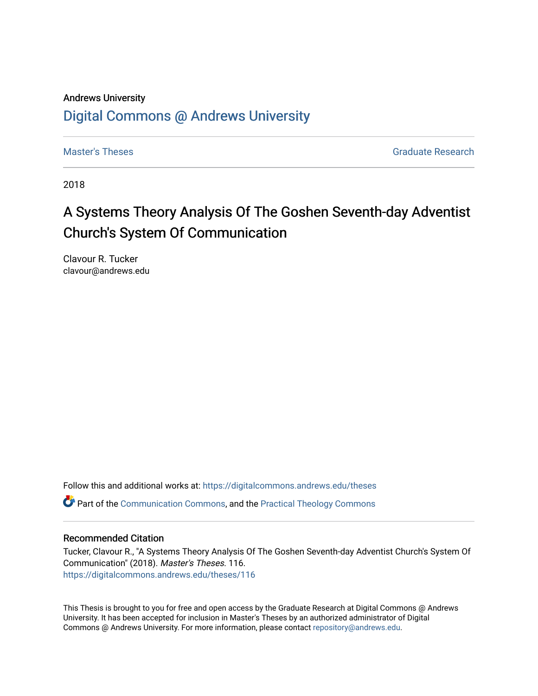# Andrews University [Digital Commons @ Andrews University](https://digitalcommons.andrews.edu/)

[Master's Theses](https://digitalcommons.andrews.edu/theses) Graduate Research

2018

# A Systems Theory Analysis Of The Goshen Seventh-day Adventist Church's System Of Communication

Clavour R. Tucker clavour@andrews.edu

Follow this and additional works at: [https://digitalcommons.andrews.edu/theses](https://digitalcommons.andrews.edu/theses?utm_source=digitalcommons.andrews.edu%2Ftheses%2F116&utm_medium=PDF&utm_campaign=PDFCoverPages)  Part of the [Communication Commons,](http://network.bepress.com/hgg/discipline/325?utm_source=digitalcommons.andrews.edu%2Ftheses%2F116&utm_medium=PDF&utm_campaign=PDFCoverPages) and the [Practical Theology Commons](http://network.bepress.com/hgg/discipline/1186?utm_source=digitalcommons.andrews.edu%2Ftheses%2F116&utm_medium=PDF&utm_campaign=PDFCoverPages) 

### Recommended Citation

Tucker, Clavour R., "A Systems Theory Analysis Of The Goshen Seventh-day Adventist Church's System Of Communication" (2018). Master's Theses. 116. [https://digitalcommons.andrews.edu/theses/116](https://digitalcommons.andrews.edu/theses/116?utm_source=digitalcommons.andrews.edu%2Ftheses%2F116&utm_medium=PDF&utm_campaign=PDFCoverPages) 

This Thesis is brought to you for free and open access by the Graduate Research at Digital Commons @ Andrews University. It has been accepted for inclusion in Master's Theses by an authorized administrator of Digital Commons @ Andrews University. For more information, please contact [repository@andrews.edu.](mailto:repository@andrews.edu)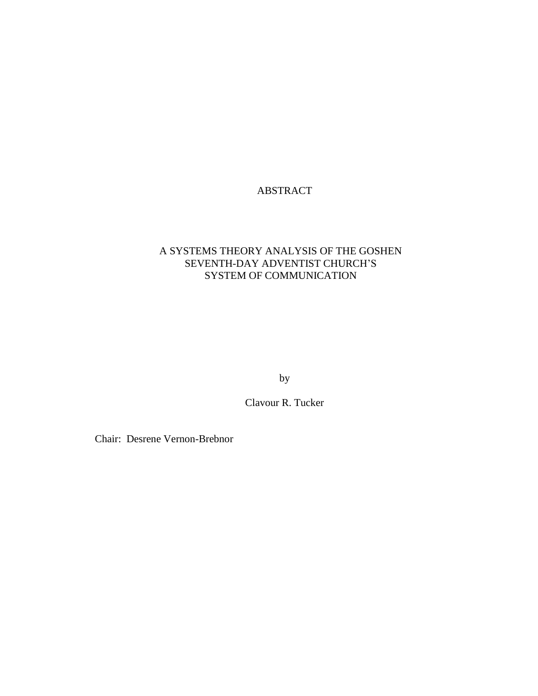# ABSTRACT

### A SYSTEMS THEORY ANALYSIS OF THE GOSHEN SEVENTH-DAY ADVENTIST CHURCH'S SYSTEM OF COMMUNICATION

by

Clavour R. Tucker

Chair: Desrene Vernon-Brebnor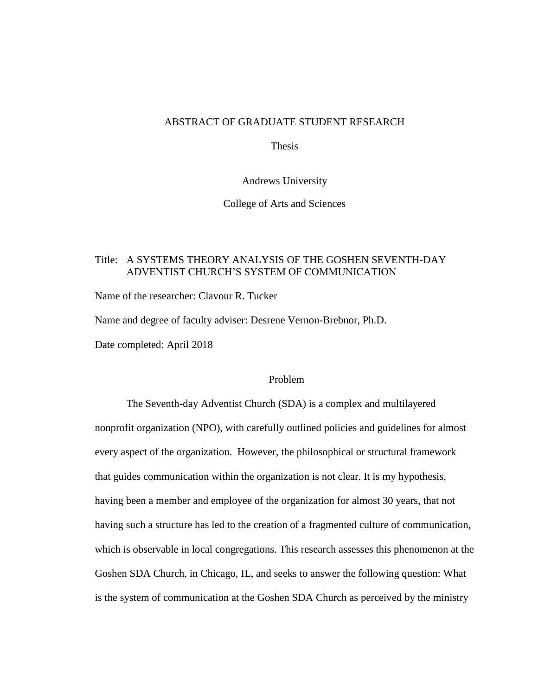### ABSTRACT OF GRADUATE STUDENT RESEARCH

Thesis

Andrews University

College of Arts and Sciences

### Title: A SYSTEMS THEORY ANALYSIS OF THE GOSHEN SEVENTH-DAY ADVENTIST CHURCH'S SYSTEM OF COMMUNICATION

Name of the researcher: Clavour R. Tucker

Name and degree of faculty adviser: Desrene Vernon-Brebnor, Ph.D.

Date completed: April 2018

### Problem

The Seventh-day Adventist Church (SDA) is a complex and multilayered nonprofit organization (NPO), with carefully outlined policies and guidelines for almost every aspect of the organization. However, the philosophical or structural framework that guides communication within the organization is not clear. It is my hypothesis, having been a member and employee of the organization for almost 30 years, that not having such a structure has led to the creation of a fragmented culture of communication, which is observable in local congregations. This research assesses this phenomenon at the Goshen SDA Church, in Chicago, IL, and seeks to answer the following question: What is the system of communication at the Goshen SDA Church as perceived by the ministry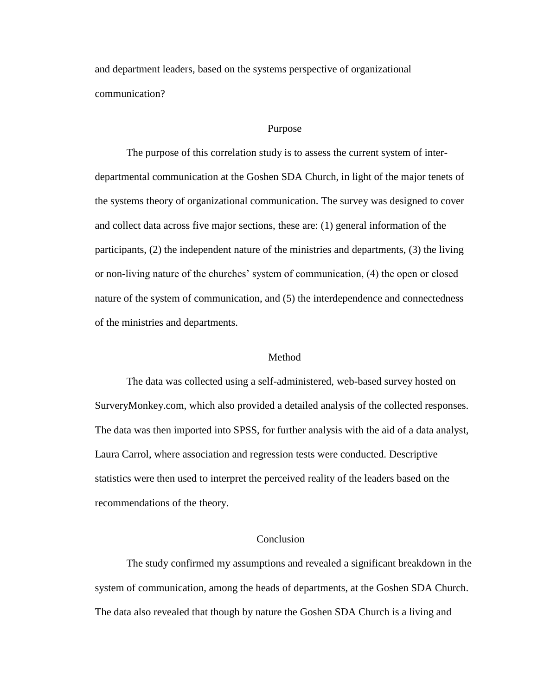and department leaders, based on the systems perspective of organizational communication?

#### Purpose

The purpose of this correlation study is to assess the current system of interdepartmental communication at the Goshen SDA Church, in light of the major tenets of the systems theory of organizational communication. The survey was designed to cover and collect data across five major sections, these are: (1) general information of the participants, (2) the independent nature of the ministries and departments, (3) the living or non-living nature of the churches' system of communication, (4) the open or closed nature of the system of communication, and (5) the interdependence and connectedness of the ministries and departments.

### Method

The data was collected using a self-administered, web-based survey hosted on SurveryMonkey.com, which also provided a detailed analysis of the collected responses. The data was then imported into SPSS, for further analysis with the aid of a data analyst, Laura Carrol, where association and regression tests were conducted. Descriptive statistics were then used to interpret the perceived reality of the leaders based on the recommendations of the theory.

### **Conclusion**

The study confirmed my assumptions and revealed a significant breakdown in the system of communication, among the heads of departments, at the Goshen SDA Church. The data also revealed that though by nature the Goshen SDA Church is a living and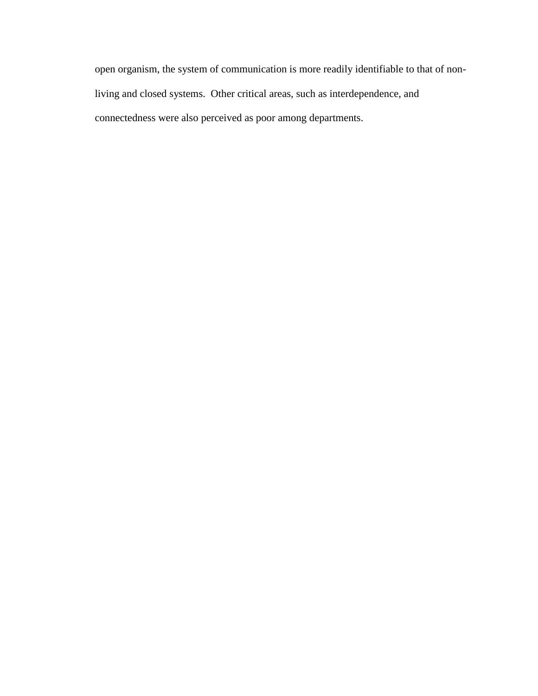open organism, the system of communication is more readily identifiable to that of nonliving and closed systems. Other critical areas, such as interdependence, and connectedness were also perceived as poor among departments.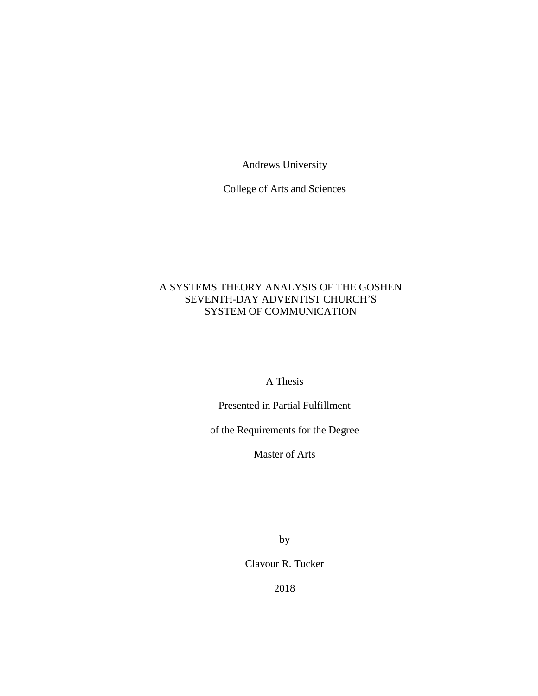Andrews University

College of Arts and Sciences

### A SYSTEMS THEORY ANALYSIS OF THE GOSHEN SEVENTH-DAY ADVENTIST CHURCH'S SYSTEM OF COMMUNICATION

A Thesis

Presented in Partial Fulfillment

of the Requirements for the Degree

Master of Arts

by

Clavour R. Tucker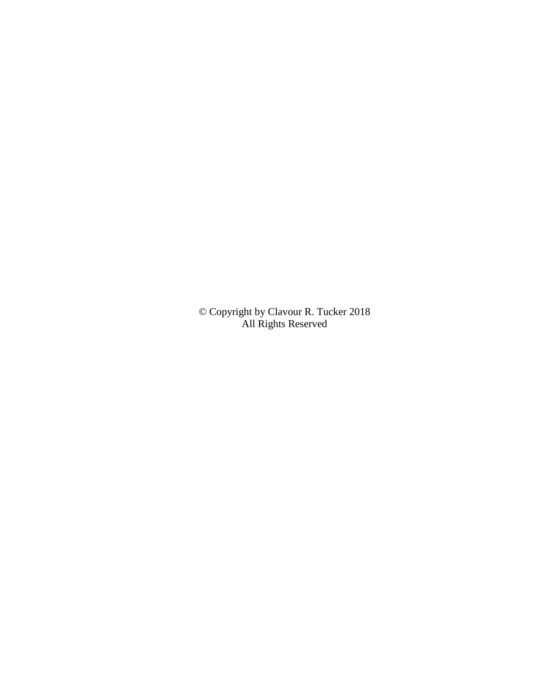© Copyright by Clavour R. Tucker 2018 All Rights Reserved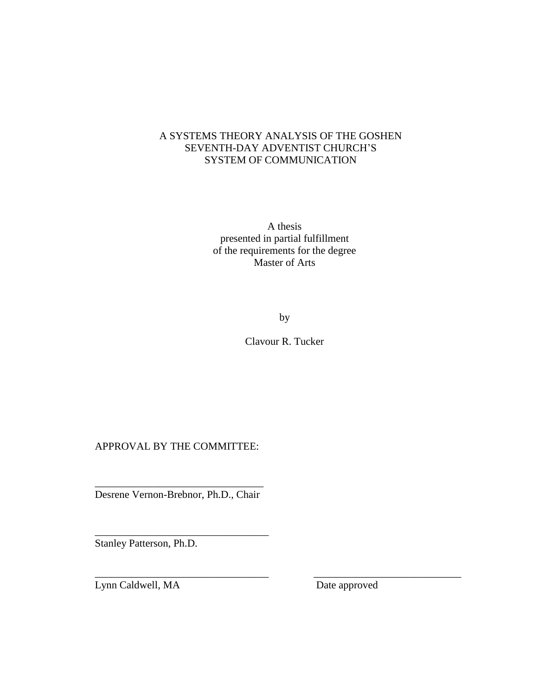### A SYSTEMS THEORY ANALYSIS OF THE GOSHEN SEVENTH-DAY ADVENTIST CHURCH'S SYSTEM OF COMMUNICATION

A thesis presented in partial fulfillment of the requirements for the degree Master of Arts

by

Clavour R. Tucker

\_\_\_\_\_\_\_\_\_\_\_\_\_\_\_\_\_\_\_\_\_\_\_\_\_\_\_\_\_\_\_\_\_ \_\_\_\_\_\_\_\_\_\_\_\_\_\_\_\_\_\_\_\_\_\_\_\_\_\_\_\_

### APPROVAL BY THE COMMITTEE:

\_\_\_\_\_\_\_\_\_\_\_\_\_\_\_\_\_\_\_\_\_\_\_\_\_\_\_\_\_\_\_\_ Desrene Vernon-Brebnor, Ph.D., Chair

\_\_\_\_\_\_\_\_\_\_\_\_\_\_\_\_\_\_\_\_\_\_\_\_\_\_\_\_\_\_\_\_\_

Stanley Patterson, Ph.D.

Lynn Caldwell, MA Date approved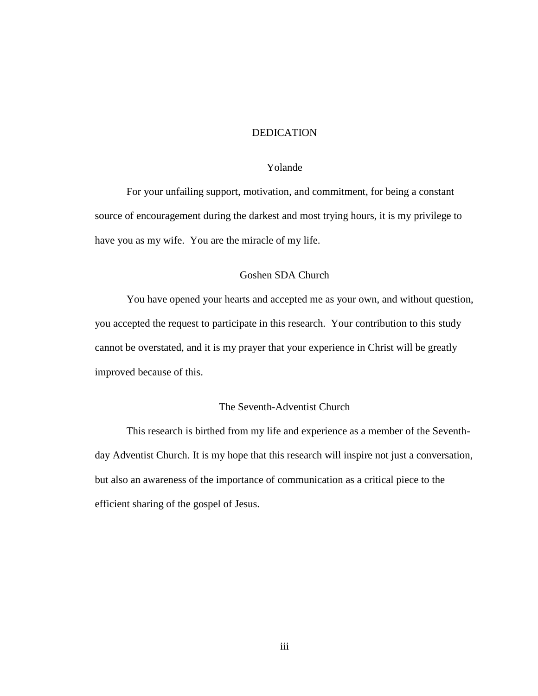### DEDICATION

#### Yolande

For your unfailing support, motivation, and commitment, for being a constant source of encouragement during the darkest and most trying hours, it is my privilege to have you as my wife. You are the miracle of my life.

### Goshen SDA Church

You have opened your hearts and accepted me as your own, and without question, you accepted the request to participate in this research. Your contribution to this study cannot be overstated, and it is my prayer that your experience in Christ will be greatly improved because of this.

### The Seventh-Adventist Church

This research is birthed from my life and experience as a member of the Seventhday Adventist Church. It is my hope that this research will inspire not just a conversation, but also an awareness of the importance of communication as a critical piece to the efficient sharing of the gospel of Jesus.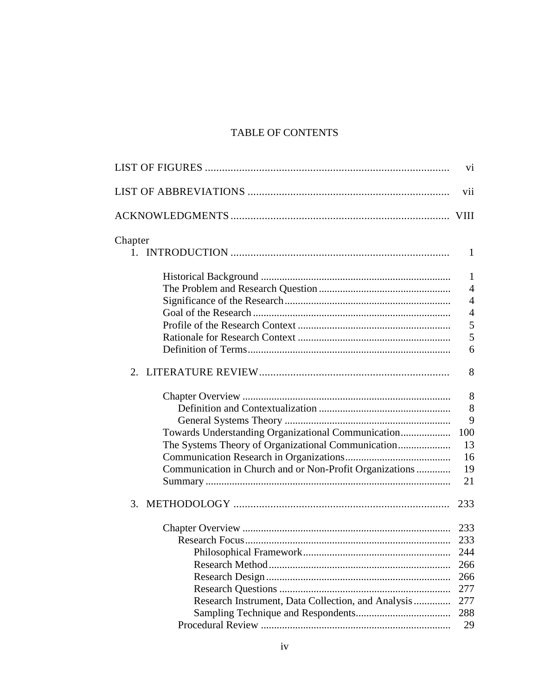# TABLE OF CONTENTS

|                                                         | vi             |
|---------------------------------------------------------|----------------|
|                                                         | vii            |
|                                                         |                |
| Chapter                                                 |                |
|                                                         | 1              |
|                                                         | $\mathbf{1}$   |
|                                                         | $\overline{4}$ |
|                                                         | $\overline{4}$ |
|                                                         | $\overline{4}$ |
|                                                         | 5              |
|                                                         | 5              |
|                                                         | 6              |
|                                                         | 8              |
|                                                         | 8              |
|                                                         | 8              |
|                                                         | 9              |
| Towards Understanding Organizational Communication      | 100            |
|                                                         | 13             |
|                                                         | 16             |
| Communication in Church and or Non-Profit Organizations | 19             |
|                                                         | 21             |
| 3.                                                      | 233            |
|                                                         |                |
|                                                         | 233            |
|                                                         | 244            |
|                                                         | 266            |
|                                                         | 266            |
|                                                         | 277            |
| Research Instrument, Data Collection, and Analysis      | 277            |
|                                                         | 288            |
|                                                         | 29             |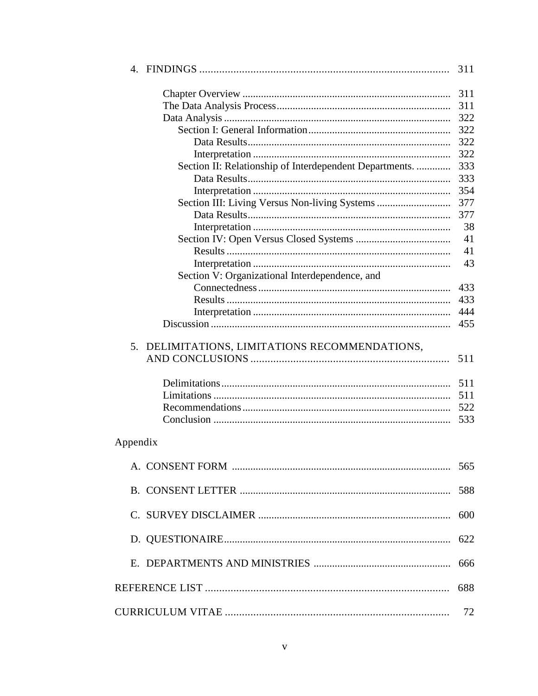|                                                         | 311 |
|---------------------------------------------------------|-----|
|                                                         | 311 |
|                                                         | 311 |
|                                                         | 322 |
|                                                         | 322 |
|                                                         | 322 |
|                                                         | 322 |
| Section II: Relationship of Interdependent Departments. | 333 |
|                                                         | 333 |
|                                                         | 354 |
| Section III: Living Versus Non-living Systems           | 377 |
|                                                         | 377 |
|                                                         | 38  |
|                                                         | 41  |
|                                                         | 41  |
|                                                         | 43  |
| Section V: Organizational Interdependence, and          |     |
|                                                         | 433 |
|                                                         | 433 |
|                                                         | 444 |
|                                                         | 455 |
| 5. DELIMITATIONS, LIMITATIONS RECOMMENDATIONS,          | 511 |
|                                                         | 511 |
|                                                         | 511 |
|                                                         | 522 |
|                                                         | 533 |
| Appendix                                                |     |
|                                                         | 565 |
|                                                         | 588 |
|                                                         | 600 |
|                                                         | 622 |
|                                                         | 666 |
|                                                         | 688 |
|                                                         | 72  |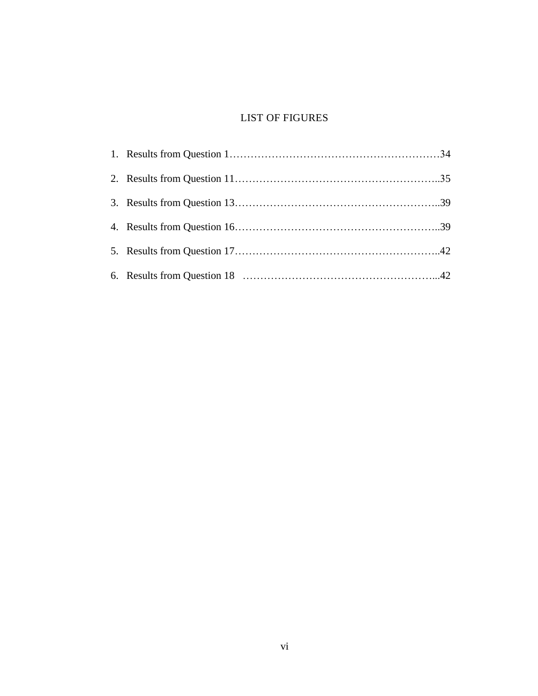### LIST OF FIGURES

<span id="page-11-0"></span>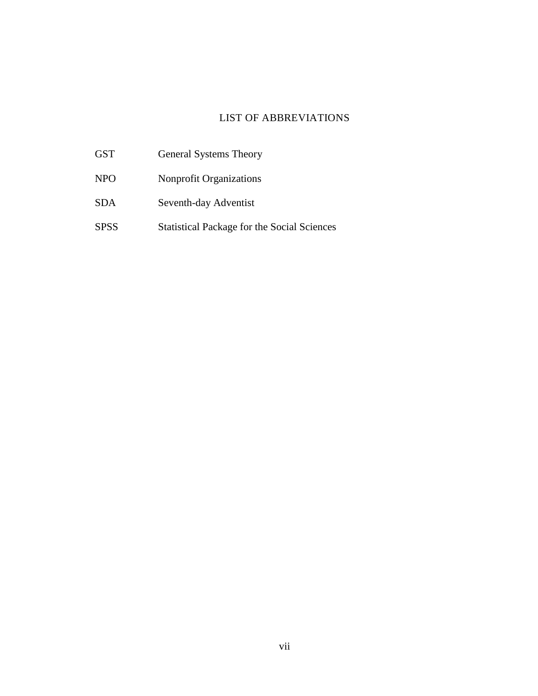# LIST OF ABBREVIATIONS

<span id="page-12-0"></span>GST General Systems Theory NPO Nonprofit Organizations SDA Seventh-day Adventist SPSS Statistical Package for the Social Sciences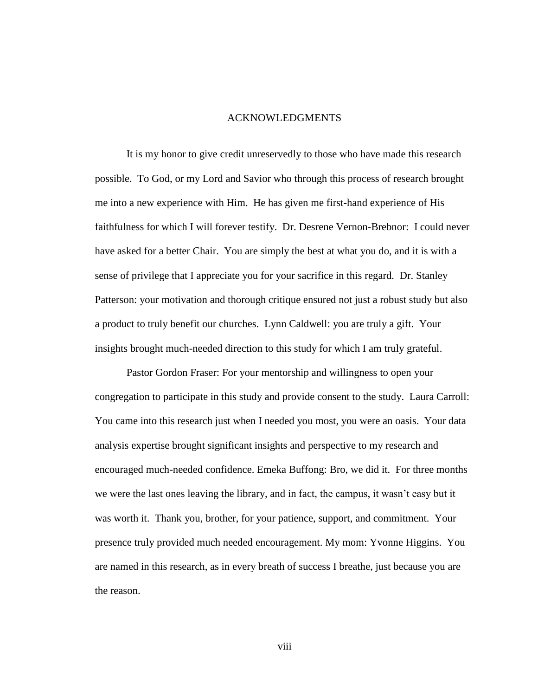### ACKNOWLEDGMENTS

<span id="page-13-0"></span>It is my honor to give credit unreservedly to those who have made this research possible. To God, or my Lord and Savior who through this process of research brought me into a new experience with Him. He has given me first-hand experience of His faithfulness for which I will forever testify. Dr. Desrene Vernon-Brebnor: I could never have asked for a better Chair. You are simply the best at what you do, and it is with a sense of privilege that I appreciate you for your sacrifice in this regard. Dr. Stanley Patterson: your motivation and thorough critique ensured not just a robust study but also a product to truly benefit our churches. Lynn Caldwell: you are truly a gift. Your insights brought much-needed direction to this study for which I am truly grateful.

Pastor Gordon Fraser: For your mentorship and willingness to open your congregation to participate in this study and provide consent to the study. Laura Carroll: You came into this research just when I needed you most, you were an oasis. Your data analysis expertise brought significant insights and perspective to my research and encouraged much-needed confidence. Emeka Buffong: Bro, we did it. For three months we were the last ones leaving the library, and in fact, the campus, it wasn't easy but it was worth it. Thank you, brother, for your patience, support, and commitment. Your presence truly provided much needed encouragement. My mom: Yvonne Higgins. You are named in this research, as in every breath of success I breathe, just because you are the reason.

viii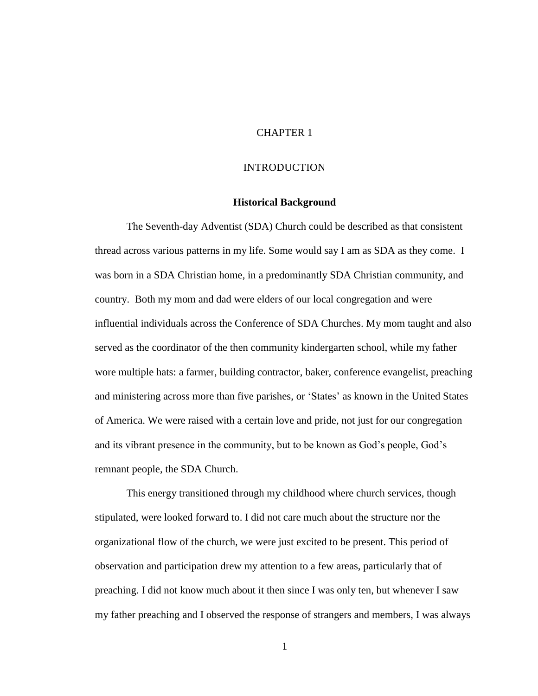### CHAPTER 1

### **INTRODUCTION**

### **Historical Background**

<span id="page-14-1"></span><span id="page-14-0"></span>The Seventh-day Adventist (SDA) Church could be described as that consistent thread across various patterns in my life. Some would say I am as SDA as they come. I was born in a SDA Christian home, in a predominantly SDA Christian community, and country. Both my mom and dad were elders of our local congregation and were influential individuals across the Conference of SDA Churches. My mom taught and also served as the coordinator of the then community kindergarten school, while my father wore multiple hats: a farmer, building contractor, baker, conference evangelist, preaching and ministering across more than five parishes, or 'States' as known in the United States of America. We were raised with a certain love and pride, not just for our congregation and its vibrant presence in the community, but to be known as God's people, God's remnant people, the SDA Church.

This energy transitioned through my childhood where church services, though stipulated, were looked forward to. I did not care much about the structure nor the organizational flow of the church, we were just excited to be present. This period of observation and participation drew my attention to a few areas, particularly that of preaching. I did not know much about it then since I was only ten, but whenever I saw my father preaching and I observed the response of strangers and members, I was always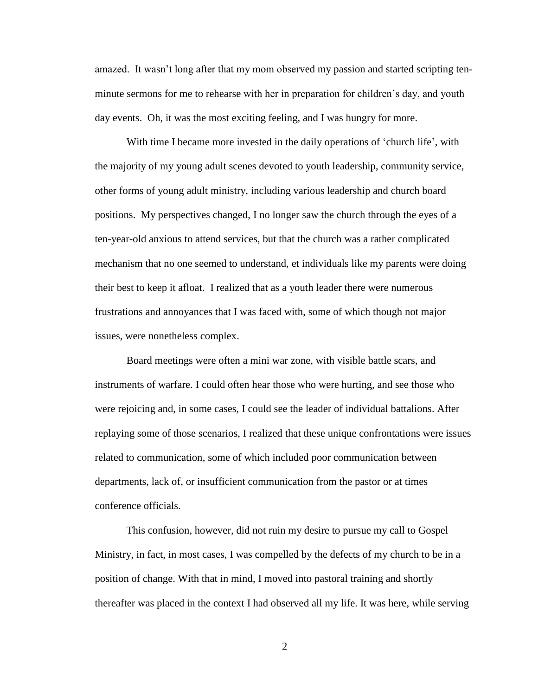amazed. It wasn't long after that my mom observed my passion and started scripting tenminute sermons for me to rehearse with her in preparation for children's day, and youth day events. Oh, it was the most exciting feeling, and I was hungry for more.

With time I became more invested in the daily operations of 'church life', with the majority of my young adult scenes devoted to youth leadership, community service, other forms of young adult ministry, including various leadership and church board positions. My perspectives changed, I no longer saw the church through the eyes of a ten-year-old anxious to attend services, but that the church was a rather complicated mechanism that no one seemed to understand, et individuals like my parents were doing their best to keep it afloat. I realized that as a youth leader there were numerous frustrations and annoyances that I was faced with, some of which though not major issues, were nonetheless complex.

Board meetings were often a mini war zone, with visible battle scars, and instruments of warfare. I could often hear those who were hurting, and see those who were rejoicing and, in some cases, I could see the leader of individual battalions. After replaying some of those scenarios, I realized that these unique confrontations were issues related to communication, some of which included poor communication between departments, lack of, or insufficient communication from the pastor or at times conference officials.

This confusion, however, did not ruin my desire to pursue my call to Gospel Ministry, in fact, in most cases, I was compelled by the defects of my church to be in a position of change. With that in mind, I moved into pastoral training and shortly thereafter was placed in the context I had observed all my life. It was here, while serving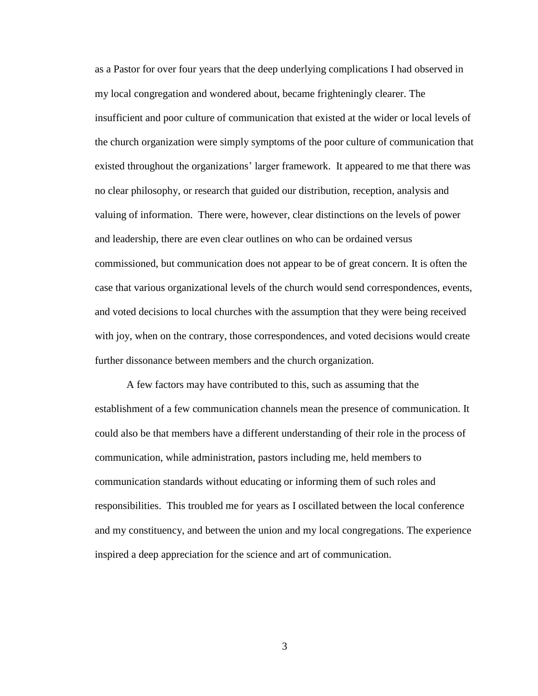as a Pastor for over four years that the deep underlying complications I had observed in my local congregation and wondered about, became frighteningly clearer. The insufficient and poor culture of communication that existed at the wider or local levels of the church organization were simply symptoms of the poor culture of communication that existed throughout the organizations' larger framework. It appeared to me that there was no clear philosophy, or research that guided our distribution, reception, analysis and valuing of information. There were, however, clear distinctions on the levels of power and leadership, there are even clear outlines on who can be ordained versus commissioned, but communication does not appear to be of great concern. It is often the case that various organizational levels of the church would send correspondences, events, and voted decisions to local churches with the assumption that they were being received with joy, when on the contrary, those correspondences, and voted decisions would create further dissonance between members and the church organization.

A few factors may have contributed to this, such as assuming that the establishment of a few communication channels mean the presence of communication. It could also be that members have a different understanding of their role in the process of communication, while administration, pastors including me, held members to communication standards without educating or informing them of such roles and responsibilities. This troubled me for years as I oscillated between the local conference and my constituency, and between the union and my local congregations. The experience inspired a deep appreciation for the science and art of communication.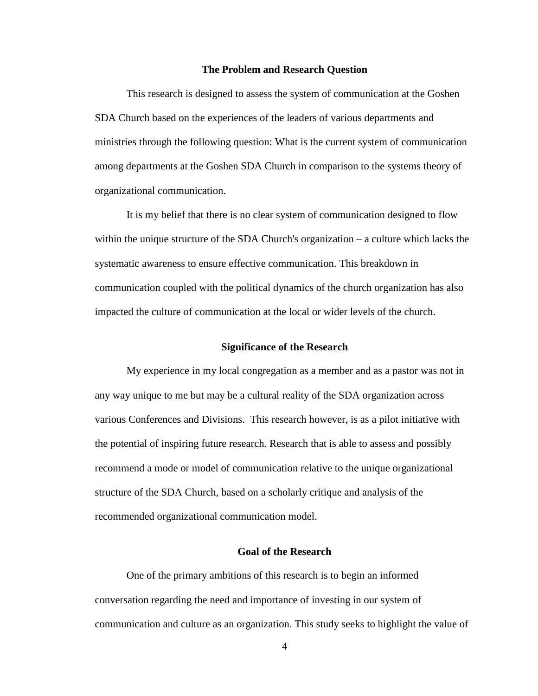#### **The Problem and Research Question**

<span id="page-17-0"></span>This research is designed to assess the system of communication at the Goshen SDA Church based on the experiences of the leaders of various departments and ministries through the following question: What is the current system of communication among departments at the Goshen SDA Church in comparison to the systems theory of organizational communication.

It is my belief that there is no clear system of communication designed to flow within the unique structure of the SDA Church's organization – a culture which lacks the systematic awareness to ensure effective communication. This breakdown in communication coupled with the political dynamics of the church organization has also impacted the culture of communication at the local or wider levels of the church.

### **Significance of the Research**

<span id="page-17-1"></span>My experience in my local congregation as a member and as a pastor was not in any way unique to me but may be a cultural reality of the SDA organization across various Conferences and Divisions. This research however, is as a pilot initiative with the potential of inspiring future research. Research that is able to assess and possibly recommend a mode or model of communication relative to the unique organizational structure of the SDA Church, based on a scholarly critique and analysis of the recommended organizational communication model.

### **Goal of the Research**

<span id="page-17-2"></span>One of the primary ambitions of this research is to begin an informed conversation regarding the need and importance of investing in our system of communication and culture as an organization. This study seeks to highlight the value of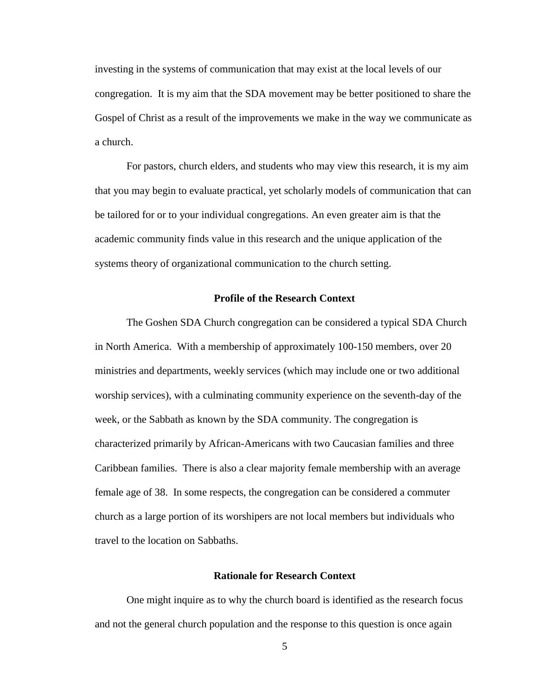investing in the systems of communication that may exist at the local levels of our congregation. It is my aim that the SDA movement may be better positioned to share the Gospel of Christ as a result of the improvements we make in the way we communicate as a church.

For pastors, church elders, and students who may view this research, it is my aim that you may begin to evaluate practical, yet scholarly models of communication that can be tailored for or to your individual congregations. An even greater aim is that the academic community finds value in this research and the unique application of the systems theory of organizational communication to the church setting.

#### **Profile of the Research Context**

<span id="page-18-0"></span>The Goshen SDA Church congregation can be considered a typical SDA Church in North America. With a membership of approximately 100-150 members, over 20 ministries and departments, weekly services (which may include one or two additional worship services), with a culminating community experience on the seventh-day of the week, or the Sabbath as known by the SDA community. The congregation is characterized primarily by African-Americans with two Caucasian families and three Caribbean families. There is also a clear majority female membership with an average female age of 38. In some respects, the congregation can be considered a commuter church as a large portion of its worshipers are not local members but individuals who travel to the location on Sabbaths.

### **Rationale for Research Context**

<span id="page-18-1"></span>One might inquire as to why the church board is identified as the research focus and not the general church population and the response to this question is once again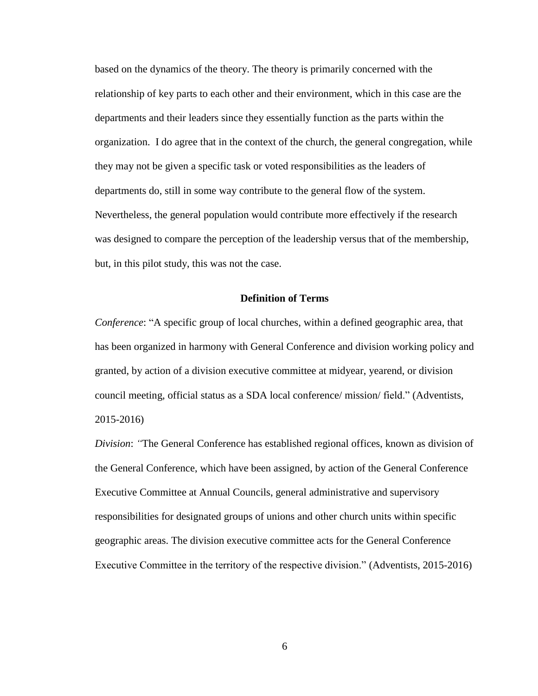based on the dynamics of the theory. The theory is primarily concerned with the relationship of key parts to each other and their environment, which in this case are the departments and their leaders since they essentially function as the parts within the organization. I do agree that in the context of the church, the general congregation, while they may not be given a specific task or voted responsibilities as the leaders of departments do, still in some way contribute to the general flow of the system. Nevertheless, the general population would contribute more effectively if the research was designed to compare the perception of the leadership versus that of the membership, but, in this pilot study, this was not the case.

### **Definition of Terms**

<span id="page-19-0"></span>*Conference*: "A specific group of local churches, within a defined geographic area, that has been organized in harmony with General Conference and division working policy and granted, by action of a division executive committee at midyear, yearend, or division council meeting, official status as a SDA local conference/ mission/ field." (Adventists, 2015-2016)

*Division*: *"*The General Conference has established regional offices, known as division of the General Conference, which have been assigned, by action of the General Conference Executive Committee at Annual Councils, general administrative and supervisory responsibilities for designated groups of unions and other church units within specific geographic areas. The division executive committee acts for the General Conference Executive Committee in the territory of the respective division." (Adventists, 2015-2016)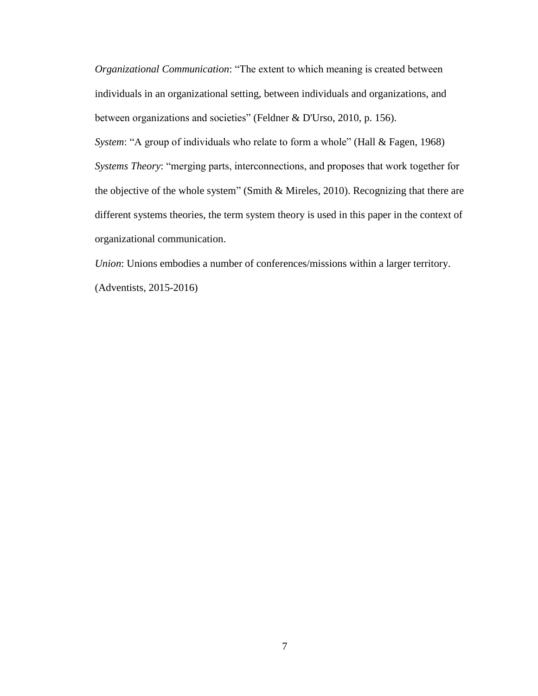*Organizational Communication*: "The extent to which meaning is created between individuals in an organizational setting, between individuals and organizations, and between organizations and societies" (Feldner & D'Urso, 2010, p. 156).

*System*: "A group of individuals who relate to form a whole" (Hall & Fagen, 1968) *Systems Theory*: "merging parts, interconnections, and proposes that work together for the objective of the whole system" (Smith & Mireles, 2010). Recognizing that there are different systems theories, the term system theory is used in this paper in the context of organizational communication.

*Union*: Unions embodies a number of conferences/missions within a larger territory. (Adventists, 2015-2016)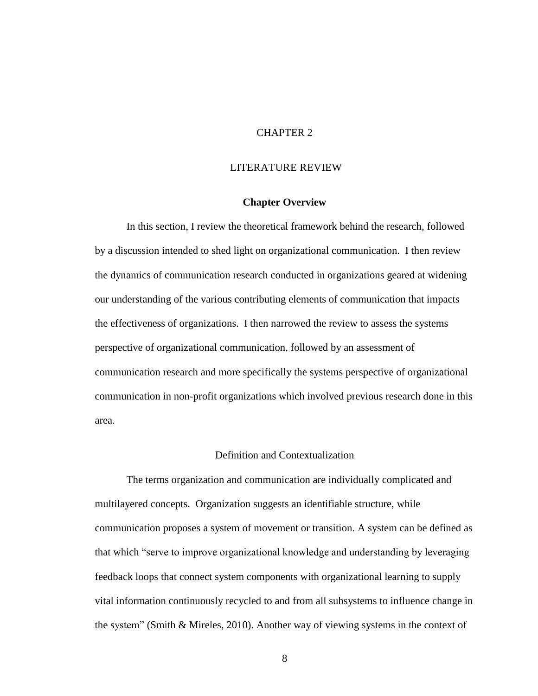### CHAPTER 2

### <span id="page-21-0"></span>LITERATURE REVIEW

### **Chapter Overview**

<span id="page-21-1"></span>In this section, I review the theoretical framework behind the research, followed by a discussion intended to shed light on organizational communication. I then review the dynamics of communication research conducted in organizations geared at widening our understanding of the various contributing elements of communication that impacts the effectiveness of organizations. I then narrowed the review to assess the systems perspective of organizational communication, followed by an assessment of communication research and more specifically the systems perspective of organizational communication in non-profit organizations which involved previous research done in this area.

### Definition and Contextualization

<span id="page-21-2"></span>The terms organization and communication are individually complicated and multilayered concepts. Organization suggests an identifiable structure, while communication proposes a system of movement or transition. A system can be defined as that which "serve to improve organizational knowledge and understanding by leveraging feedback loops that connect system components with organizational learning to supply vital information continuously recycled to and from all subsystems to influence change in the system" (Smith & Mireles, 2010). Another way of viewing systems in the context of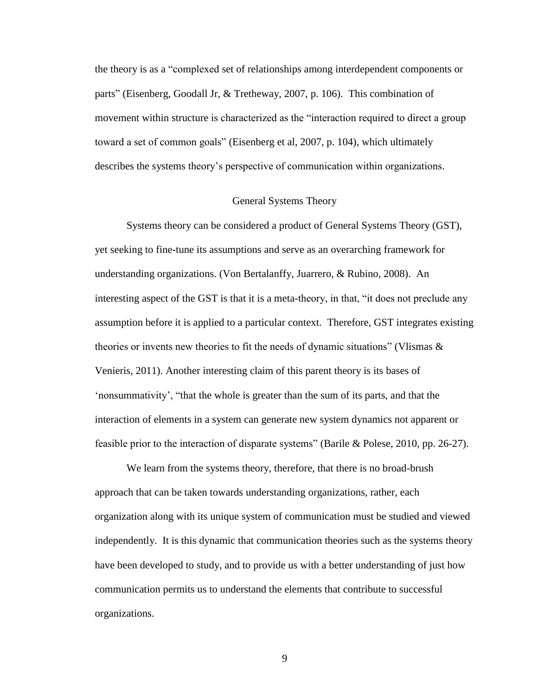the theory is as a "complexed set of relationships among interdependent components or parts" (Eisenberg, Goodall Jr, & Tretheway, 2007, p. 106). This combination of movement within structure is characterized as the "interaction required to direct a group toward a set of common goals" (Eisenberg et al, 2007, p. 104), which ultimately describes the systems theory's perspective of communication within organizations.

#### General Systems Theory

<span id="page-22-0"></span>Systems theory can be considered a product of General Systems Theory (GST), yet seeking to fine-tune its assumptions and serve as an overarching framework for understanding organizations. (Von Bertalanffy, Juarrero, & Rubino, 2008). An interesting aspect of the GST is that it is a meta-theory, in that, "it does not preclude any assumption before it is applied to a particular context. Therefore, GST integrates existing theories or invents new theories to fit the needs of dynamic situations" (Vlismas  $\&$ Venieris, 2011). Another interesting claim of this parent theory is its bases of 'nonsummativity', "that the whole is greater than the sum of its parts, and that the interaction of elements in a system can generate new system dynamics not apparent or feasible prior to the interaction of disparate systems" (Barile & Polese, 2010, pp. 26-27).

We learn from the systems theory, therefore, that there is no broad-brush approach that can be taken towards understanding organizations, rather, each organization along with its unique system of communication must be studied and viewed independently. It is this dynamic that communication theories such as the systems theory have been developed to study, and to provide us with a better understanding of just how communication permits us to understand the elements that contribute to successful organizations.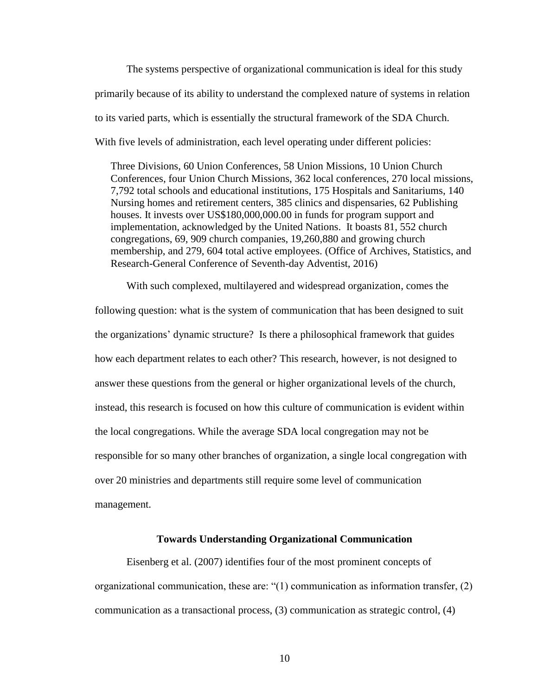The systems perspective of organizational communication is ideal for this study primarily because of its ability to understand the complexed nature of systems in relation to its varied parts, which is essentially the structural framework of the SDA Church. With five levels of administration, each level operating under different policies:

Three Divisions, 60 Union Conferences, 58 Union Missions, 10 Union Church Conferences, four Union Church Missions, 362 local conferences, 270 local missions, 7,792 total schools and educational institutions, 175 Hospitals and Sanitariums, 140 Nursing homes and retirement centers, 385 clinics and dispensaries, 62 Publishing houses. It invests over US\$180,000,000.00 in funds for program support and implementation, acknowledged by the United Nations. It boasts 81, 552 church congregations, 69, 909 church companies, 19,260,880 and growing church membership, and 279, 604 total active employees. (Office of Archives, Statistics, and Research-General Conference of Seventh-day Adventist, 2016)

With such complexed, multilayered and widespread organization, comes the following question: what is the system of communication that has been designed to suit the organizations' dynamic structure? Is there a philosophical framework that guides how each department relates to each other? This research, however, is not designed to answer these questions from the general or higher organizational levels of the church, instead, this research is focused on how this culture of communication is evident within the local congregations. While the average SDA local congregation may not be responsible for so many other branches of organization, a single local congregation with over 20 ministries and departments still require some level of communication management.

### **Towards Understanding Organizational Communication**

<span id="page-23-0"></span>Eisenberg et al. (2007) identifies four of the most prominent concepts of organizational communication, these are: " $(1)$  communication as information transfer,  $(2)$ communication as a transactional process, (3) communication as strategic control, (4)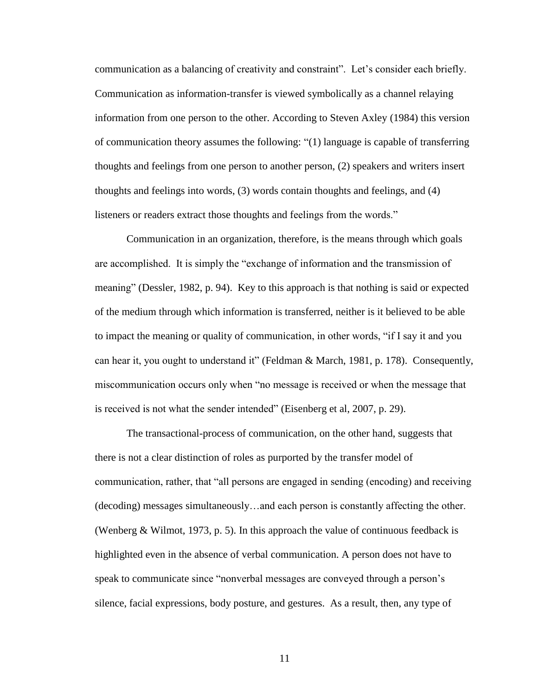communication as a balancing of creativity and constraint". Let's consider each briefly. Communication as information-transfer is viewed symbolically as a channel relaying information from one person to the other. According to Steven Axley (1984) this version of communication theory assumes the following: "(1) language is capable of transferring thoughts and feelings from one person to another person, (2) speakers and writers insert thoughts and feelings into words, (3) words contain thoughts and feelings, and (4) listeners or readers extract those thoughts and feelings from the words."

Communication in an organization, therefore, is the means through which goals are accomplished. It is simply the "exchange of information and the transmission of meaning" (Dessler, 1982, p. 94). Key to this approach is that nothing is said or expected of the medium through which information is transferred, neither is it believed to be able to impact the meaning or quality of communication, in other words, "if I say it and you can hear it, you ought to understand it" (Feldman & March, 1981, p. 178). Consequently, miscommunication occurs only when "no message is received or when the message that is received is not what the sender intended" (Eisenberg et al, 2007, p. 29).

The transactional-process of communication, on the other hand, suggests that there is not a clear distinction of roles as purported by the transfer model of communication, rather, that "all persons are engaged in sending (encoding) and receiving (decoding) messages simultaneously…and each person is constantly affecting the other. (Wenberg & Wilmot, 1973, p. 5). In this approach the value of continuous feedback is highlighted even in the absence of verbal communication. A person does not have to speak to communicate since "nonverbal messages are conveyed through a person's silence, facial expressions, body posture, and gestures. As a result, then, any type of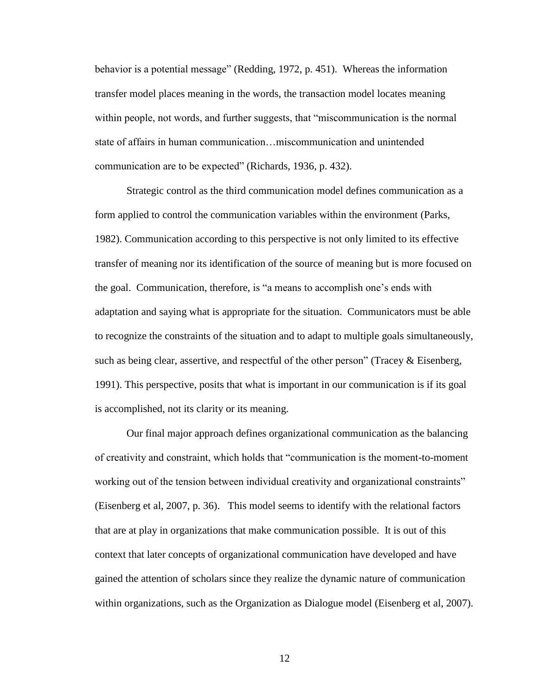behavior is a potential message" (Redding, 1972, p. 451). Whereas the information transfer model places meaning in the words, the transaction model locates meaning within people, not words, and further suggests, that "miscommunication is the normal state of affairs in human communication…miscommunication and unintended communication are to be expected" (Richards, 1936, p. 432).

Strategic control as the third communication model defines communication as a form applied to control the communication variables within the environment (Parks, 1982). Communication according to this perspective is not only limited to its effective transfer of meaning nor its identification of the source of meaning but is more focused on the goal. Communication, therefore, is "a means to accomplish one's ends with adaptation and saying what is appropriate for the situation. Communicators must be able to recognize the constraints of the situation and to adapt to multiple goals simultaneously, such as being clear, assertive, and respectful of the other person" (Tracey & Eisenberg, 1991). This perspective, posits that what is important in our communication is if its goal is accomplished, not its clarity or its meaning.

Our final major approach defines organizational communication as the balancing of creativity and constraint, which holds that "communication is the moment-to-moment working out of the tension between individual creativity and organizational constraints" (Eisenberg et al, 2007, p. 36). This model seems to identify with the relational factors that are at play in organizations that make communication possible. It is out of this context that later concepts of organizational communication have developed and have gained the attention of scholars since they realize the dynamic nature of communication within organizations, such as the Organization as Dialogue model (Eisenberg et al, 2007).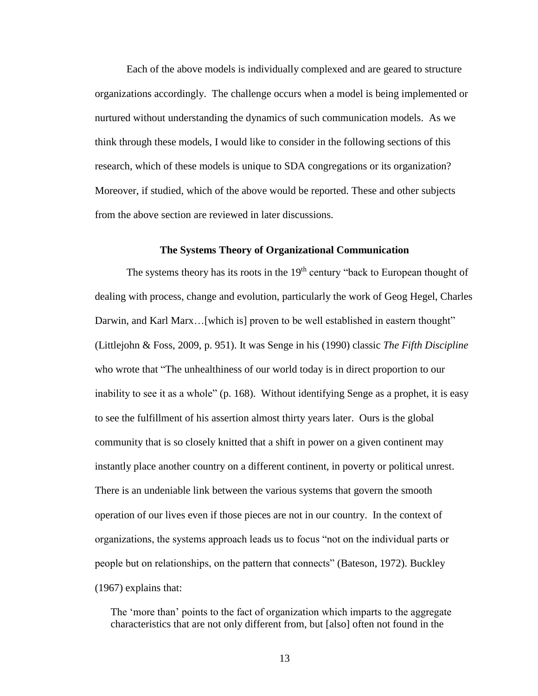Each of the above models is individually complexed and are geared to structure organizations accordingly. The challenge occurs when a model is being implemented or nurtured without understanding the dynamics of such communication models. As we think through these models, I would like to consider in the following sections of this research, which of these models is unique to SDA congregations or its organization? Moreover, if studied, which of the above would be reported. These and other subjects from the above section are reviewed in later discussions.

### **The Systems Theory of Organizational Communication**

<span id="page-26-0"></span>The systems theory has its roots in the 19<sup>th</sup> century "back to European thought of dealing with process, change and evolution, particularly the work of Geog Hegel, Charles Darwin, and Karl Marx... [which is] proven to be well established in eastern thought" (Littlejohn & Foss, 2009, p. 951). It was Senge in his (1990) classic *The Fifth Discipline*  who wrote that "The unhealthiness of our world today is in direct proportion to our inability to see it as a whole" (p. 168). Without identifying Senge as a prophet, it is easy to see the fulfillment of his assertion almost thirty years later. Ours is the global community that is so closely knitted that a shift in power on a given continent may instantly place another country on a different continent, in poverty or political unrest. There is an undeniable link between the various systems that govern the smooth operation of our lives even if those pieces are not in our country. In the context of organizations, the systems approach leads us to focus "not on the individual parts or people but on relationships, on the pattern that connects" (Bateson, 1972). Buckley (1967) explains that:

The 'more than' points to the fact of organization which imparts to the aggregate characteristics that are not only different from, but [also] often not found in the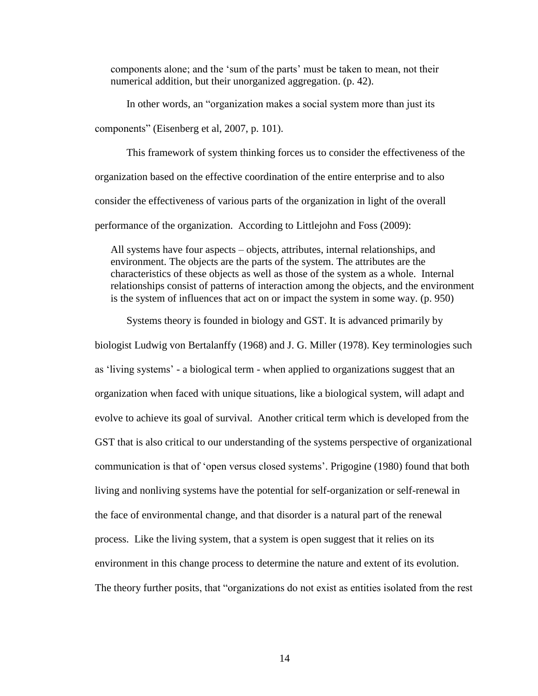components alone; and the 'sum of the parts' must be taken to mean, not their numerical addition, but their unorganized aggregation. (p. 42).

In other words, an "organization makes a social system more than just its

components" (Eisenberg et al, 2007, p. 101).

This framework of system thinking forces us to consider the effectiveness of the organization based on the effective coordination of the entire enterprise and to also consider the effectiveness of various parts of the organization in light of the overall performance of the organization. According to Littlejohn and Foss (2009):

All systems have four aspects – objects, attributes, internal relationships, and environment. The objects are the parts of the system. The attributes are the characteristics of these objects as well as those of the system as a whole. Internal relationships consist of patterns of interaction among the objects, and the environment is the system of influences that act on or impact the system in some way. (p. 950)

Systems theory is founded in biology and GST. It is advanced primarily by

biologist Ludwig von Bertalanffy (1968) and J. G. Miller (1978). Key terminologies such as 'living systems' - a biological term - when applied to organizations suggest that an organization when faced with unique situations, like a biological system, will adapt and evolve to achieve its goal of survival. Another critical term which is developed from the GST that is also critical to our understanding of the systems perspective of organizational communication is that of 'open versus closed systems'. Prigogine (1980) found that both living and nonliving systems have the potential for self-organization or self-renewal in the face of environmental change, and that disorder is a natural part of the renewal process. Like the living system, that a system is open suggest that it relies on its environment in this change process to determine the nature and extent of its evolution. The theory further posits, that "organizations do not exist as entities isolated from the rest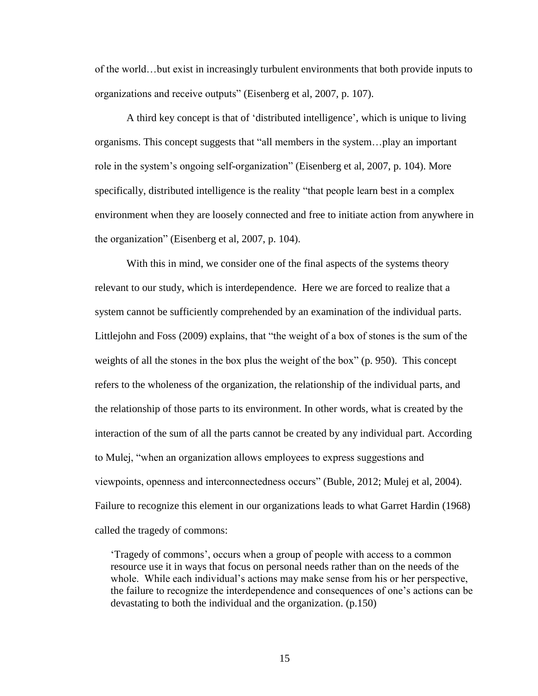of the world…but exist in increasingly turbulent environments that both provide inputs to organizations and receive outputs" (Eisenberg et al, 2007, p. 107).

A third key concept is that of 'distributed intelligence', which is unique to living organisms. This concept suggests that "all members in the system…play an important role in the system's ongoing self-organization" (Eisenberg et al, 2007, p. 104). More specifically, distributed intelligence is the reality "that people learn best in a complex environment when they are loosely connected and free to initiate action from anywhere in the organization" (Eisenberg et al, 2007, p. 104).

With this in mind, we consider one of the final aspects of the systems theory relevant to our study, which is interdependence. Here we are forced to realize that a system cannot be sufficiently comprehended by an examination of the individual parts. Littlejohn and Foss (2009) explains, that "the weight of a box of stones is the sum of the weights of all the stones in the box plus the weight of the box" (p. 950). This concept refers to the wholeness of the organization, the relationship of the individual parts, and the relationship of those parts to its environment. In other words, what is created by the interaction of the sum of all the parts cannot be created by any individual part. According to Mulej, "when an organization allows employees to express suggestions and viewpoints, openness and interconnectedness occurs" (Buble, 2012; Mulej et al, 2004). Failure to recognize this element in our organizations leads to what Garret Hardin (1968) called the tragedy of commons:

'Tragedy of commons', occurs when a group of people with access to a common resource use it in ways that focus on personal needs rather than on the needs of the whole. While each individual's actions may make sense from his or her perspective, the failure to recognize the interdependence and consequences of one's actions can be devastating to both the individual and the organization. (p.150)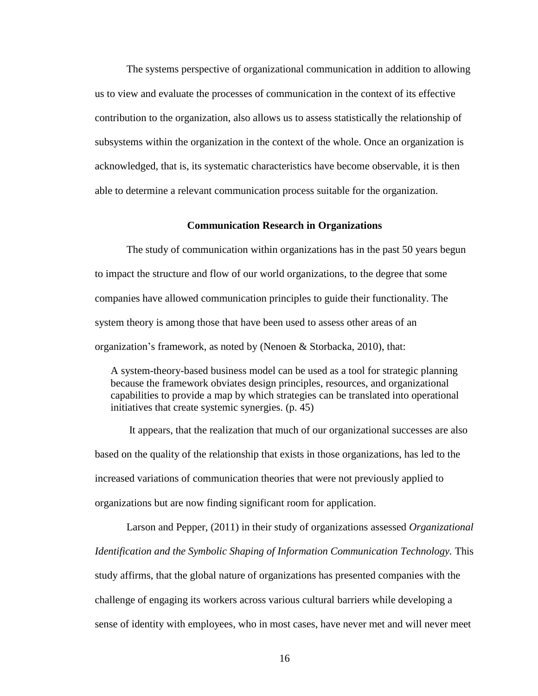The systems perspective of organizational communication in addition to allowing us to view and evaluate the processes of communication in the context of its effective contribution to the organization, also allows us to assess statistically the relationship of subsystems within the organization in the context of the whole. Once an organization is acknowledged, that is, its systematic characteristics have become observable, it is then able to determine a relevant communication process suitable for the organization.

### **Communication Research in Organizations**

<span id="page-29-0"></span>The study of communication within organizations has in the past 50 years begun to impact the structure and flow of our world organizations, to the degree that some companies have allowed communication principles to guide their functionality. The system theory is among those that have been used to assess other areas of an organization's framework, as noted by (Nenoen & Storbacka, 2010), that:

A system-theory-based business model can be used as a tool for strategic planning because the framework obviates design principles, resources, and organizational capabilities to provide a map by which strategies can be translated into operational initiatives that create systemic synergies. (p. 45)

It appears, that the realization that much of our organizational successes are also based on the quality of the relationship that exists in those organizations, has led to the increased variations of communication theories that were not previously applied to organizations but are now finding significant room for application.

Larson and Pepper, (2011) in their study of organizations assessed *Organizational Identification and the Symbolic Shaping of Information Communication Technology.* This study affirms, that the global nature of organizations has presented companies with the challenge of engaging its workers across various cultural barriers while developing a sense of identity with employees, who in most cases, have never met and will never meet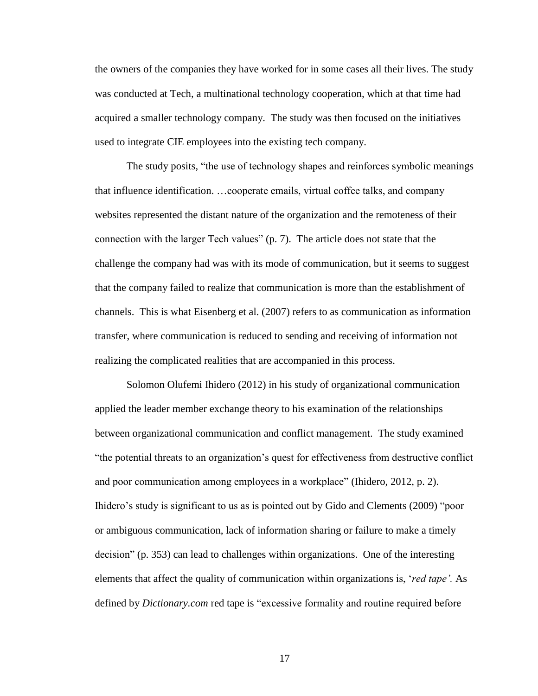the owners of the companies they have worked for in some cases all their lives. The study was conducted at Tech, a multinational technology cooperation, which at that time had acquired a smaller technology company. The study was then focused on the initiatives used to integrate CIE employees into the existing tech company.

The study posits, "the use of technology shapes and reinforces symbolic meanings that influence identification. …cooperate emails, virtual coffee talks, and company websites represented the distant nature of the organization and the remoteness of their connection with the larger Tech values" (p. 7). The article does not state that the challenge the company had was with its mode of communication, but it seems to suggest that the company failed to realize that communication is more than the establishment of channels. This is what Eisenberg et al. (2007) refers to as communication as information transfer, where communication is reduced to sending and receiving of information not realizing the complicated realities that are accompanied in this process.

Solomon Olufemi Ihidero (2012) in his study of organizational communication applied the leader member exchange theory to his examination of the relationships between organizational communication and conflict management. The study examined "the potential threats to an organization's quest for effectiveness from destructive conflict and poor communication among employees in a workplace" (Ihidero, 2012, p. 2). Ihidero's study is significant to us as is pointed out by Gido and Clements (2009) "poor or ambiguous communication, lack of information sharing or failure to make a timely decision" (p. 353) can lead to challenges within organizations. One of the interesting elements that affect the quality of communication within organizations is, '*red tape'.* As defined by *Dictionary.com* red tape is "excessive formality and routine required before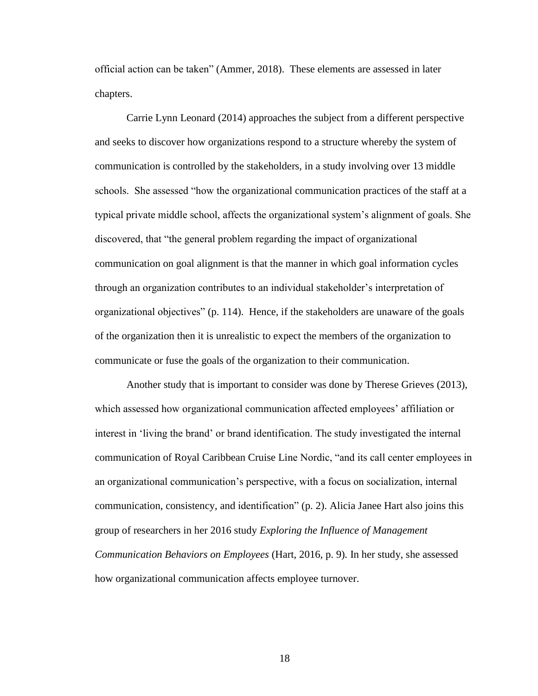official action can be taken" (Ammer, 2018). These elements are assessed in later chapters.

Carrie Lynn Leonard (2014) approaches the subject from a different perspective and seeks to discover how organizations respond to a structure whereby the system of communication is controlled by the stakeholders, in a study involving over 13 middle schools. She assessed "how the organizational communication practices of the staff at a typical private middle school, affects the organizational system's alignment of goals. She discovered, that "the general problem regarding the impact of organizational communication on goal alignment is that the manner in which goal information cycles through an organization contributes to an individual stakeholder's interpretation of organizational objectives" (p. 114). Hence, if the stakeholders are unaware of the goals of the organization then it is unrealistic to expect the members of the organization to communicate or fuse the goals of the organization to their communication.

Another study that is important to consider was done by Therese Grieves (2013), which assessed how organizational communication affected employees' affiliation or interest in 'living the brand' or brand identification. The study investigated the internal communication of Royal Caribbean Cruise Line Nordic, "and its call center employees in an organizational communication's perspective, with a focus on socialization, internal communication, consistency, and identification" (p. 2). Alicia Janee Hart also joins this group of researchers in her 2016 study *Exploring the Influence of Management Communication Behaviors on Employees* (Hart, 2016, p. 9)*.* In her study, she assessed how organizational communication affects employee turnover.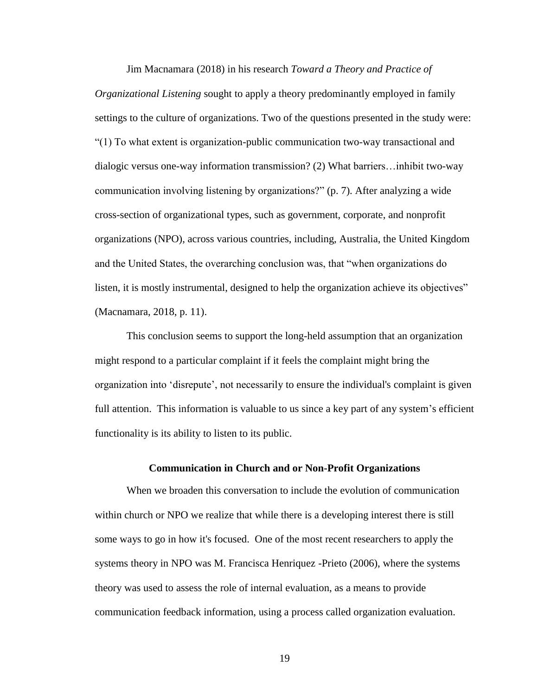Jim Macnamara (2018) in his research *Toward a Theory and Practice of Organizational Listening* sought to apply a theory predominantly employed in family settings to the culture of organizations. Two of the questions presented in the study were: "(1) To what extent is organization-public communication two-way transactional and dialogic versus one-way information transmission? (2) What barriers…inhibit two-way communication involving listening by organizations?" (p. 7). After analyzing a wide cross-section of organizational types, such as government, corporate, and nonprofit organizations (NPO), across various countries, including, Australia, the United Kingdom and the United States, the overarching conclusion was, that "when organizations do listen, it is mostly instrumental, designed to help the organization achieve its objectives" (Macnamara, 2018, p. 11).

This conclusion seems to support the long-held assumption that an organization might respond to a particular complaint if it feels the complaint might bring the organization into 'disrepute', not necessarily to ensure the individual's complaint is given full attention. This information is valuable to us since a key part of any system's efficient functionality is its ability to listen to its public.

### **Communication in Church and or Non-Profit Organizations**

<span id="page-32-0"></span>When we broaden this conversation to include the evolution of communication within church or NPO we realize that while there is a developing interest there is still some ways to go in how it's focused. One of the most recent researchers to apply the systems theory in NPO was M. Francisca Henriquez -Prieto (2006), where the systems theory was used to assess the role of internal evaluation, as a means to provide communication feedback information, using a process called organization evaluation.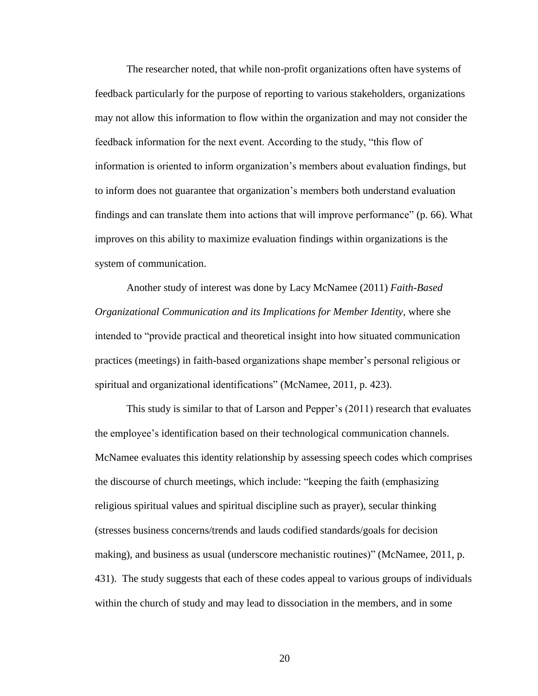The researcher noted, that while non-profit organizations often have systems of feedback particularly for the purpose of reporting to various stakeholders, organizations may not allow this information to flow within the organization and may not consider the feedback information for the next event. According to the study, "this flow of information is oriented to inform organization's members about evaluation findings, but to inform does not guarantee that organization's members both understand evaluation findings and can translate them into actions that will improve performance" (p. 66). What improves on this ability to maximize evaluation findings within organizations is the system of communication.

Another study of interest was done by Lacy McNamee (2011) *Faith-Based Organizational Communication and its Implications for Member Identity,* where she intended to "provide practical and theoretical insight into how situated communication practices (meetings) in faith-based organizations shape member's personal religious or spiritual and organizational identifications" (McNamee, 2011, p. 423).

This study is similar to that of Larson and Pepper's (2011) research that evaluates the employee's identification based on their technological communication channels. McNamee evaluates this identity relationship by assessing speech codes which comprises the discourse of church meetings, which include: "keeping the faith (emphasizing religious spiritual values and spiritual discipline such as prayer), secular thinking (stresses business concerns/trends and lauds codified standards/goals for decision making), and business as usual (underscore mechanistic routines)" (McNamee, 2011, p. 431). The study suggests that each of these codes appeal to various groups of individuals within the church of study and may lead to dissociation in the members, and in some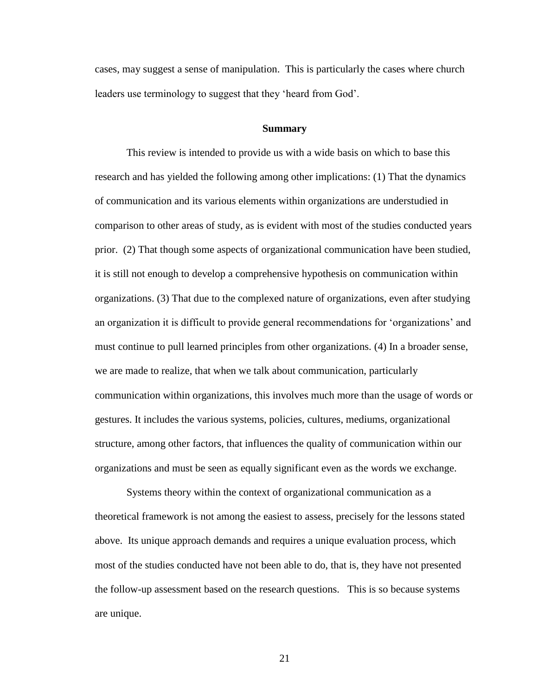cases, may suggest a sense of manipulation. This is particularly the cases where church leaders use terminology to suggest that they 'heard from God'.

#### **Summary**

<span id="page-34-0"></span>This review is intended to provide us with a wide basis on which to base this research and has yielded the following among other implications: (1) That the dynamics of communication and its various elements within organizations are understudied in comparison to other areas of study, as is evident with most of the studies conducted years prior. (2) That though some aspects of organizational communication have been studied, it is still not enough to develop a comprehensive hypothesis on communication within organizations. (3) That due to the complexed nature of organizations, even after studying an organization it is difficult to provide general recommendations for 'organizations' and must continue to pull learned principles from other organizations. (4) In a broader sense, we are made to realize, that when we talk about communication, particularly communication within organizations, this involves much more than the usage of words or gestures. It includes the various systems, policies, cultures, mediums, organizational structure, among other factors, that influences the quality of communication within our organizations and must be seen as equally significant even as the words we exchange.

Systems theory within the context of organizational communication as a theoretical framework is not among the easiest to assess, precisely for the lessons stated above. Its unique approach demands and requires a unique evaluation process, which most of the studies conducted have not been able to do, that is, they have not presented the follow-up assessment based on the research questions. This is so because systems are unique.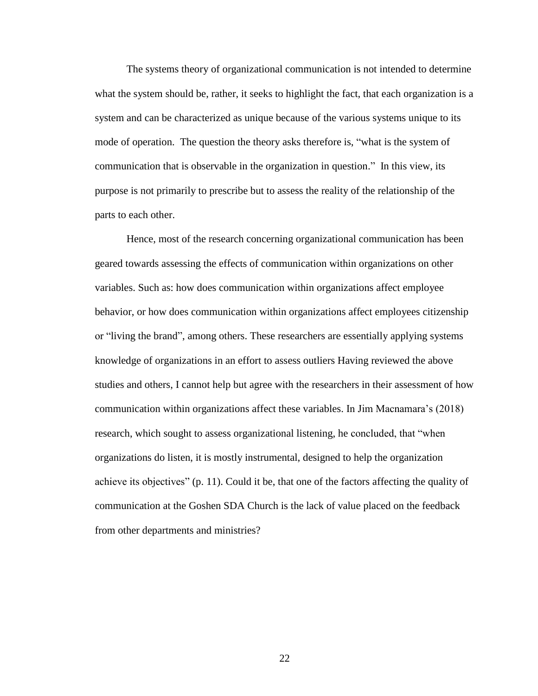The systems theory of organizational communication is not intended to determine what the system should be, rather, it seeks to highlight the fact, that each organization is a system and can be characterized as unique because of the various systems unique to its mode of operation. The question the theory asks therefore is, "what is the system of communication that is observable in the organization in question." In this view, its purpose is not primarily to prescribe but to assess the reality of the relationship of the parts to each other.

Hence, most of the research concerning organizational communication has been geared towards assessing the effects of communication within organizations on other variables. Such as: how does communication within organizations affect employee behavior, or how does communication within organizations affect employees citizenship or "living the brand", among others. These researchers are essentially applying systems knowledge of organizations in an effort to assess outliers Having reviewed the above studies and others, I cannot help but agree with the researchers in their assessment of how communication within organizations affect these variables. In Jim Macnamara's (2018) research, which sought to assess organizational listening, he concluded, that "when organizations do listen, it is mostly instrumental, designed to help the organization achieve its objectives" (p. 11). Could it be, that one of the factors affecting the quality of communication at the Goshen SDA Church is the lack of value placed on the feedback from other departments and ministries?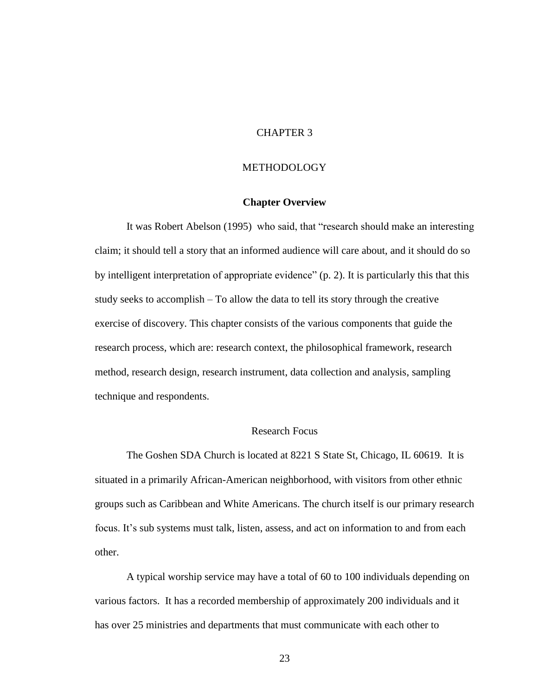# CHAPTER 3

#### METHODOLOGY

#### **Chapter Overview**

It was Robert Abelson (1995) who said, that "research should make an interesting claim; it should tell a story that an informed audience will care about, and it should do so by intelligent interpretation of appropriate evidence" (p. 2). It is particularly this that this study seeks to accomplish – To allow the data to tell its story through the creative exercise of discovery. This chapter consists of the various components that guide the research process, which are: research context, the philosophical framework, research method, research design, research instrument, data collection and analysis, sampling technique and respondents.

### Research Focus

The Goshen SDA Church is located at 8221 S State St, Chicago, IL 60619. It is situated in a primarily African-American neighborhood, with visitors from other ethnic groups such as Caribbean and White Americans. The church itself is our primary research focus. It's sub systems must talk, listen, assess, and act on information to and from each other.

A typical worship service may have a total of 60 to 100 individuals depending on various factors. It has a recorded membership of approximately 200 individuals and it has over 25 ministries and departments that must communicate with each other to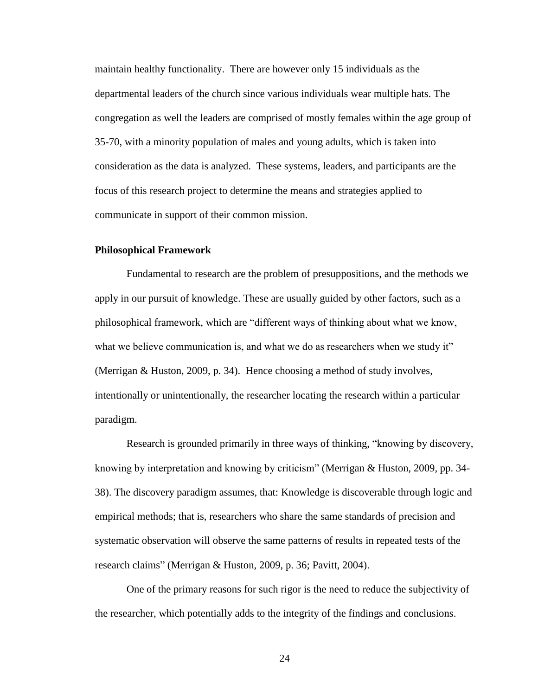maintain healthy functionality. There are however only 15 individuals as the departmental leaders of the church since various individuals wear multiple hats. The congregation as well the leaders are comprised of mostly females within the age group of 35-70, with a minority population of males and young adults, which is taken into consideration as the data is analyzed. These systems, leaders, and participants are the focus of this research project to determine the means and strategies applied to communicate in support of their common mission.

#### **Philosophical Framework**

Fundamental to research are the problem of presuppositions, and the methods we apply in our pursuit of knowledge. These are usually guided by other factors, such as a philosophical framework, which are "different ways of thinking about what we know, what we believe communication is, and what we do as researchers when we study it" (Merrigan & Huston, 2009, p. 34). Hence choosing a method of study involves, intentionally or unintentionally, the researcher locating the research within a particular paradigm.

Research is grounded primarily in three ways of thinking, "knowing by discovery, knowing by interpretation and knowing by criticism" (Merrigan & Huston, 2009, pp. 34- 38). The discovery paradigm assumes, that: Knowledge is discoverable through logic and empirical methods; that is, researchers who share the same standards of precision and systematic observation will observe the same patterns of results in repeated tests of the research claims" (Merrigan & Huston, 2009, p. 36; Pavitt, 2004).

One of the primary reasons for such rigor is the need to reduce the subjectivity of the researcher, which potentially adds to the integrity of the findings and conclusions.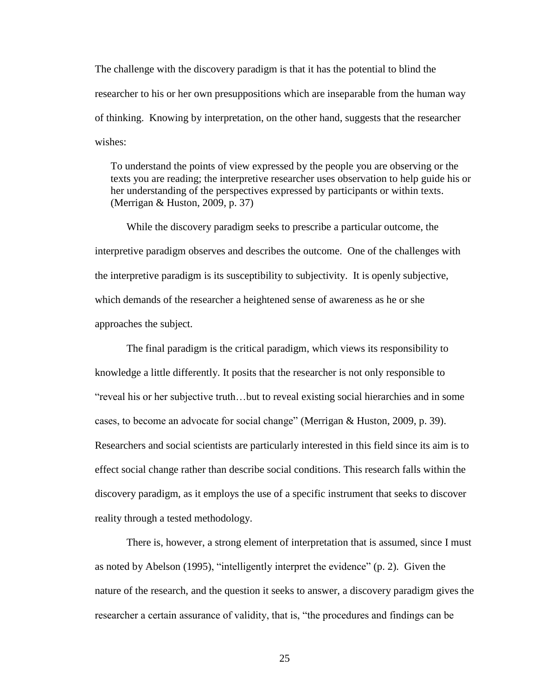The challenge with the discovery paradigm is that it has the potential to blind the researcher to his or her own presuppositions which are inseparable from the human way of thinking. Knowing by interpretation, on the other hand, suggests that the researcher wishes:

To understand the points of view expressed by the people you are observing or the texts you are reading; the interpretive researcher uses observation to help guide his or her understanding of the perspectives expressed by participants or within texts. (Merrigan & Huston, 2009, p. 37)

While the discovery paradigm seeks to prescribe a particular outcome, the interpretive paradigm observes and describes the outcome. One of the challenges with the interpretive paradigm is its susceptibility to subjectivity. It is openly subjective, which demands of the researcher a heightened sense of awareness as he or she approaches the subject.

The final paradigm is the critical paradigm, which views its responsibility to knowledge a little differently. It posits that the researcher is not only responsible to "reveal his or her subjective truth…but to reveal existing social hierarchies and in some cases, to become an advocate for social change" (Merrigan & Huston, 2009, p. 39). Researchers and social scientists are particularly interested in this field since its aim is to effect social change rather than describe social conditions. This research falls within the discovery paradigm, as it employs the use of a specific instrument that seeks to discover reality through a tested methodology.

There is, however, a strong element of interpretation that is assumed, since I must as noted by Abelson (1995), "intelligently interpret the evidence" (p. 2). Given the nature of the research, and the question it seeks to answer, a discovery paradigm gives the researcher a certain assurance of validity, that is, "the procedures and findings can be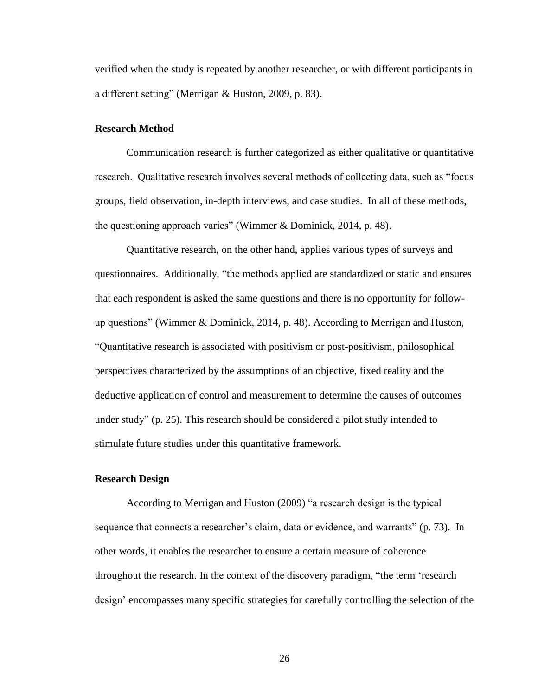verified when the study is repeated by another researcher, or with different participants in a different setting" (Merrigan & Huston, 2009, p. 83).

#### **Research Method**

Communication research is further categorized as either qualitative or quantitative research. Qualitative research involves several methods of collecting data, such as "focus groups, field observation, in-depth interviews, and case studies. In all of these methods, the questioning approach varies" (Wimmer & Dominick, 2014, p. 48).

Quantitative research, on the other hand, applies various types of surveys and questionnaires. Additionally, "the methods applied are standardized or static and ensures that each respondent is asked the same questions and there is no opportunity for followup questions" (Wimmer & Dominick, 2014, p. 48). According to Merrigan and Huston, "Quantitative research is associated with positivism or post-positivism, philosophical perspectives characterized by the assumptions of an objective, fixed reality and the deductive application of control and measurement to determine the causes of outcomes under study" (p. 25). This research should be considered a pilot study intended to stimulate future studies under this quantitative framework.

#### **Research Design**

According to Merrigan and Huston (2009) "a research design is the typical sequence that connects a researcher's claim, data or evidence, and warrants" (p. 73). In other words, it enables the researcher to ensure a certain measure of coherence throughout the research. In the context of the discovery paradigm, "the term 'research design' encompasses many specific strategies for carefully controlling the selection of the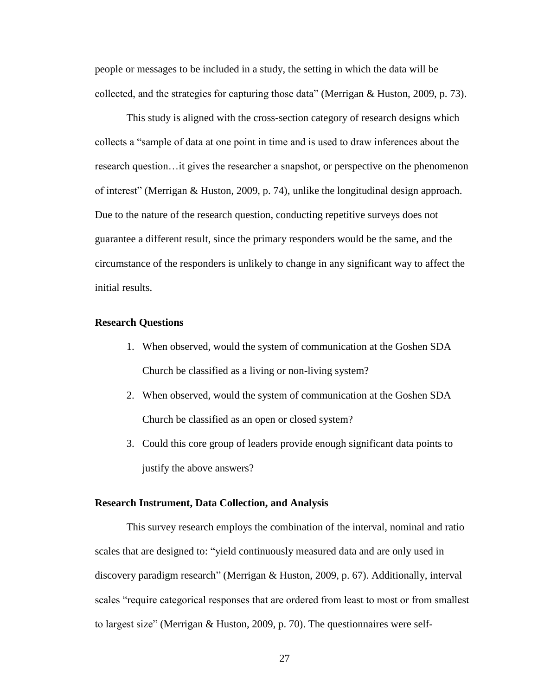people or messages to be included in a study, the setting in which the data will be collected, and the strategies for capturing those data" (Merrigan & Huston, 2009, p. 73).

This study is aligned with the cross-section category of research designs which collects a "sample of data at one point in time and is used to draw inferences about the research question…it gives the researcher a snapshot, or perspective on the phenomenon of interest" (Merrigan & Huston, 2009, p. 74), unlike the longitudinal design approach. Due to the nature of the research question, conducting repetitive surveys does not guarantee a different result, since the primary responders would be the same, and the circumstance of the responders is unlikely to change in any significant way to affect the initial results.

#### **Research Questions**

- 1. When observed, would the system of communication at the Goshen SDA Church be classified as a living or non-living system?
- 2. When observed, would the system of communication at the Goshen SDA Church be classified as an open or closed system?
- 3. Could this core group of leaders provide enough significant data points to justify the above answers?

#### **Research Instrument, Data Collection, and Analysis**

This survey research employs the combination of the interval, nominal and ratio scales that are designed to: "yield continuously measured data and are only used in discovery paradigm research" (Merrigan & Huston, 2009, p. 67). Additionally, interval scales "require categorical responses that are ordered from least to most or from smallest to largest size" (Merrigan & Huston, 2009, p. 70). The questionnaires were self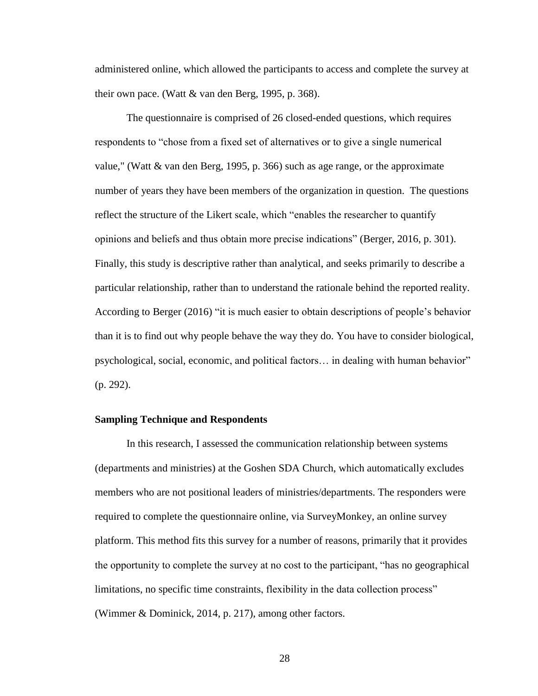administered online, which allowed the participants to access and complete the survey at their own pace. (Watt  $&$  van den Berg, 1995, p. 368).

The questionnaire is comprised of 26 closed-ended questions, which requires respondents to "chose from a fixed set of alternatives or to give a single numerical value," (Watt & van den Berg, 1995, p. 366) such as age range, or the approximate number of years they have been members of the organization in question. The questions reflect the structure of the Likert scale, which "enables the researcher to quantify opinions and beliefs and thus obtain more precise indications" (Berger, 2016, p. 301). Finally, this study is descriptive rather than analytical, and seeks primarily to describe a particular relationship, rather than to understand the rationale behind the reported reality. According to Berger (2016) "it is much easier to obtain descriptions of people's behavior than it is to find out why people behave the way they do. You have to consider biological, psychological, social, economic, and political factors… in dealing with human behavior" (p. 292).

#### **Sampling Technique and Respondents**

In this research, I assessed the communication relationship between systems (departments and ministries) at the Goshen SDA Church, which automatically excludes members who are not positional leaders of ministries/departments. The responders were required to complete the questionnaire online, via SurveyMonkey, an online survey platform. This method fits this survey for a number of reasons, primarily that it provides the opportunity to complete the survey at no cost to the participant, "has no geographical limitations, no specific time constraints, flexibility in the data collection process" (Wimmer & Dominick, 2014, p. 217), among other factors.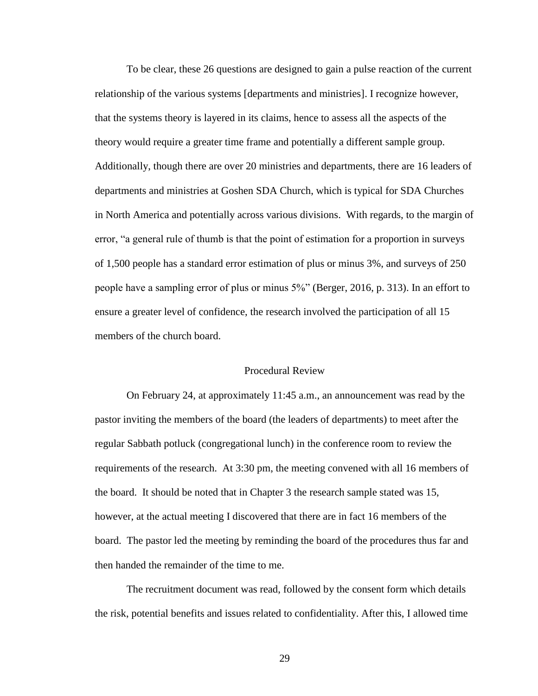To be clear, these 26 questions are designed to gain a pulse reaction of the current relationship of the various systems [departments and ministries]. I recognize however, that the systems theory is layered in its claims, hence to assess all the aspects of the theory would require a greater time frame and potentially a different sample group. Additionally, though there are over 20 ministries and departments, there are 16 leaders of departments and ministries at Goshen SDA Church, which is typical for SDA Churches in North America and potentially across various divisions. With regards, to the margin of error, "a general rule of thumb is that the point of estimation for a proportion in surveys of 1,500 people has a standard error estimation of plus or minus 3%, and surveys of 250 people have a sampling error of plus or minus 5%" (Berger, 2016, p. 313). In an effort to ensure a greater level of confidence, the research involved the participation of all 15 members of the church board.

#### Procedural Review

On February 24, at approximately 11:45 a.m., an announcement was read by the pastor inviting the members of the board (the leaders of departments) to meet after the regular Sabbath potluck (congregational lunch) in the conference room to review the requirements of the research. At 3:30 pm, the meeting convened with all 16 members of the board. It should be noted that in Chapter 3 the research sample stated was 15, however, at the actual meeting I discovered that there are in fact 16 members of the board. The pastor led the meeting by reminding the board of the procedures thus far and then handed the remainder of the time to me.

The recruitment document was read, followed by the consent form which details the risk, potential benefits and issues related to confidentiality. After this, I allowed time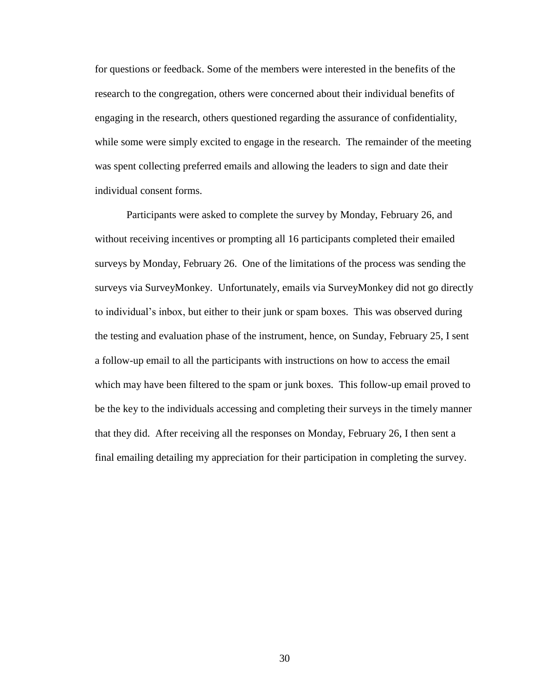for questions or feedback. Some of the members were interested in the benefits of the research to the congregation, others were concerned about their individual benefits of engaging in the research, others questioned regarding the assurance of confidentiality, while some were simply excited to engage in the research. The remainder of the meeting was spent collecting preferred emails and allowing the leaders to sign and date their individual consent forms.

Participants were asked to complete the survey by Monday, February 26, and without receiving incentives or prompting all 16 participants completed their emailed surveys by Monday, February 26. One of the limitations of the process was sending the surveys via SurveyMonkey. Unfortunately, emails via SurveyMonkey did not go directly to individual's inbox, but either to their junk or spam boxes. This was observed during the testing and evaluation phase of the instrument, hence, on Sunday, February 25, I sent a follow-up email to all the participants with instructions on how to access the email which may have been filtered to the spam or junk boxes. This follow-up email proved to be the key to the individuals accessing and completing their surveys in the timely manner that they did. After receiving all the responses on Monday, February 26, I then sent a final emailing detailing my appreciation for their participation in completing the survey.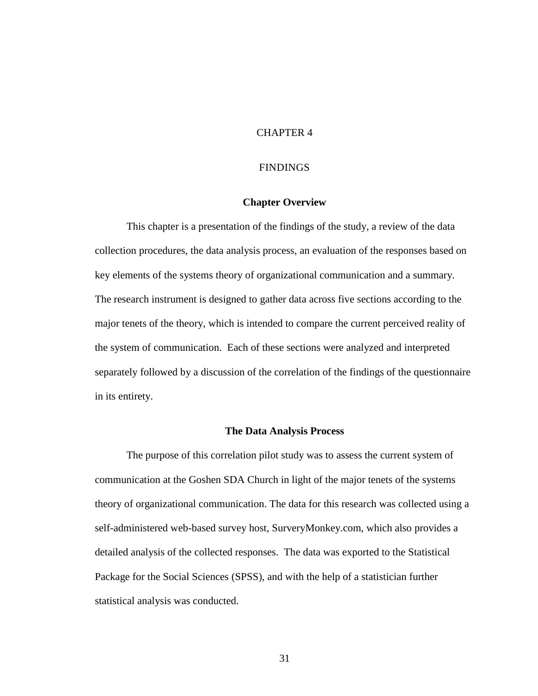# CHAPTER 4

#### FINDINGS

#### **Chapter Overview**

This chapter is a presentation of the findings of the study, a review of the data collection procedures, the data analysis process, an evaluation of the responses based on key elements of the systems theory of organizational communication and a summary. The research instrument is designed to gather data across five sections according to the major tenets of the theory, which is intended to compare the current perceived reality of the system of communication. Each of these sections were analyzed and interpreted separately followed by a discussion of the correlation of the findings of the questionnaire in its entirety.

#### **The Data Analysis Process**

The purpose of this correlation pilot study was to assess the current system of communication at the Goshen SDA Church in light of the major tenets of the systems theory of organizational communication. The data for this research was collected using a self-administered web-based survey host, SurveryMonkey.com, which also provides a detailed analysis of the collected responses. The data was exported to the Statistical Package for the Social Sciences (SPSS), and with the help of a statistician further statistical analysis was conducted.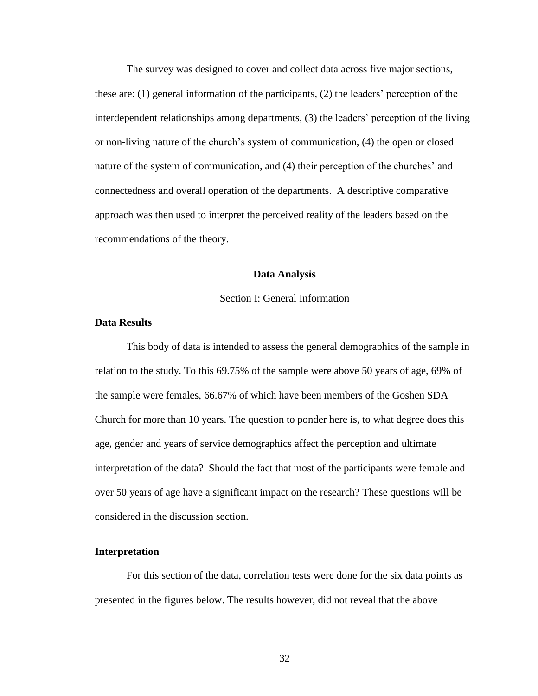The survey was designed to cover and collect data across five major sections, these are: (1) general information of the participants, (2) the leaders' perception of the interdependent relationships among departments, (3) the leaders' perception of the living or non-living nature of the church's system of communication, (4) the open or closed nature of the system of communication, and (4) their perception of the churches' and connectedness and overall operation of the departments. A descriptive comparative approach was then used to interpret the perceived reality of the leaders based on the recommendations of the theory.

#### **Data Analysis**

#### Section I: General Information

#### **Data Results**

This body of data is intended to assess the general demographics of the sample in relation to the study. To this 69.75% of the sample were above 50 years of age, 69% of the sample were females, 66.67% of which have been members of the Goshen SDA Church for more than 10 years. The question to ponder here is, to what degree does this age, gender and years of service demographics affect the perception and ultimate interpretation of the data? Should the fact that most of the participants were female and over 50 years of age have a significant impact on the research? These questions will be considered in the discussion section.

#### **Interpretation**

For this section of the data, correlation tests were done for the six data points as presented in the figures below. The results however, did not reveal that the above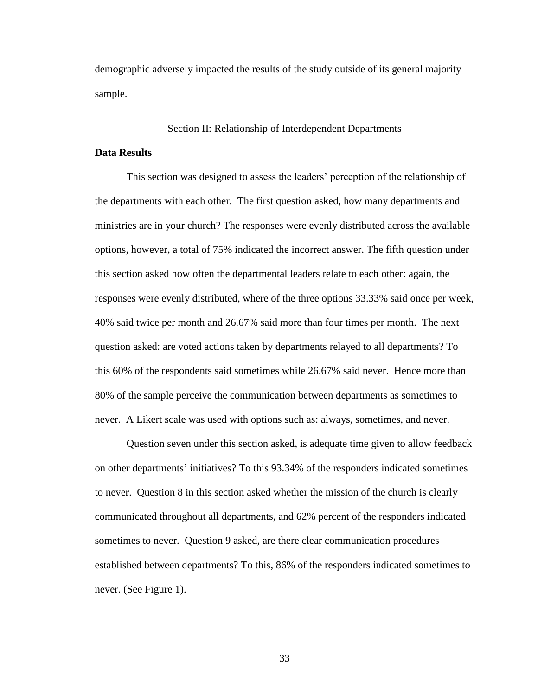demographic adversely impacted the results of the study outside of its general majority sample.

#### Section II: Relationship of Interdependent Departments

#### **Data Results**

This section was designed to assess the leaders' perception of the relationship of the departments with each other. The first question asked, how many departments and ministries are in your church? The responses were evenly distributed across the available options, however, a total of 75% indicated the incorrect answer. The fifth question under this section asked how often the departmental leaders relate to each other: again, the responses were evenly distributed, where of the three options 33.33% said once per week, 40% said twice per month and 26.67% said more than four times per month. The next question asked: are voted actions taken by departments relayed to all departments? To this 60% of the respondents said sometimes while 26.67% said never. Hence more than 80% of the sample perceive the communication between departments as sometimes to never. A Likert scale was used with options such as: always, sometimes, and never.

Question seven under this section asked, is adequate time given to allow feedback on other departments' initiatives? To this 93.34% of the responders indicated sometimes to never. Question 8 in this section asked whether the mission of the church is clearly communicated throughout all departments, and 62% percent of the responders indicated sometimes to never. Question 9 asked, are there clear communication procedures established between departments? To this, 86% of the responders indicated sometimes to never. (See Figure 1).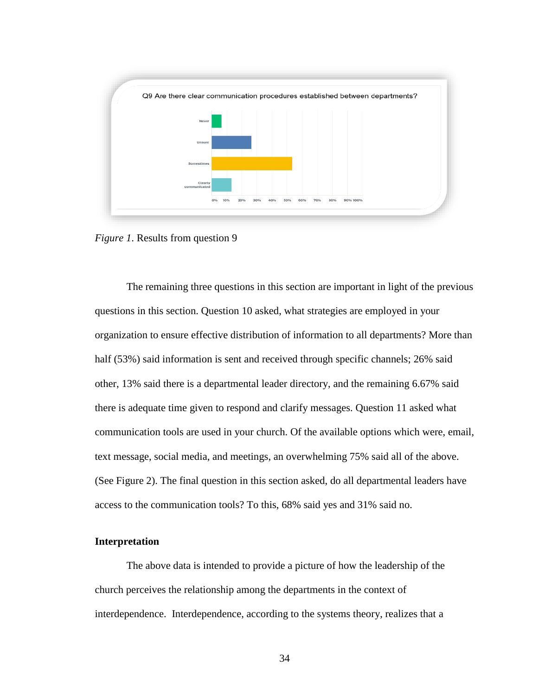

*Figure 1*. Results from question 9

The remaining three questions in this section are important in light of the previous questions in this section. Question 10 asked, what strategies are employed in your organization to ensure effective distribution of information to all departments? More than half (53%) said information is sent and received through specific channels; 26% said other, 13% said there is a departmental leader directory, and the remaining 6.67% said there is adequate time given to respond and clarify messages. Question 11 asked what communication tools are used in your church. Of the available options which were, email, text message, social media, and meetings, an overwhelming 75% said all of the above. (See Figure 2). The final question in this section asked, do all departmental leaders have access to the communication tools? To this, 68% said yes and 31% said no.

# **Interpretation**

The above data is intended to provide a picture of how the leadership of the church perceives the relationship among the departments in the context of interdependence. Interdependence, according to the systems theory, realizes that a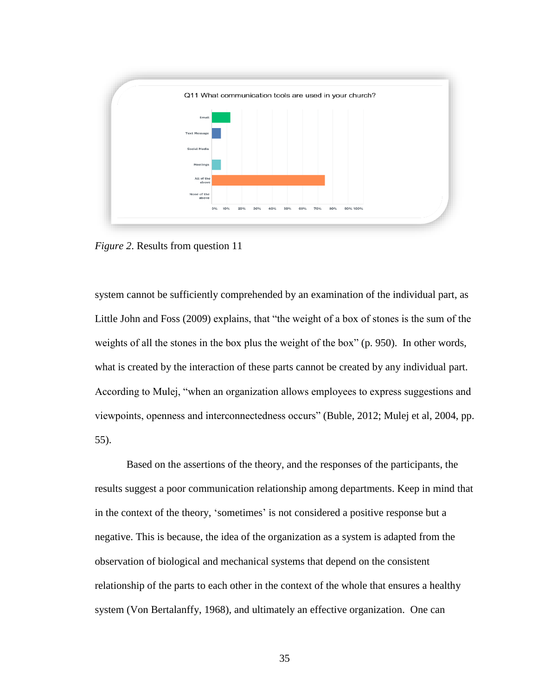

*Figure 2*. Results from question 11

system cannot be sufficiently comprehended by an examination of the individual part, as Little John and Foss (2009) explains, that "the weight of a box of stones is the sum of the weights of all the stones in the box plus the weight of the box" (p. 950). In other words, what is created by the interaction of these parts cannot be created by any individual part. According to Mulej, "when an organization allows employees to express suggestions and viewpoints, openness and interconnectedness occurs" (Buble, 2012; Mulej et al, 2004, pp. 55).

Based on the assertions of the theory, and the responses of the participants, the results suggest a poor communication relationship among departments. Keep in mind that in the context of the theory, 'sometimes' is not considered a positive response but a negative. This is because, the idea of the organization as a system is adapted from the observation of biological and mechanical systems that depend on the consistent relationship of the parts to each other in the context of the whole that ensures a healthy system (Von Bertalanffy, 1968), and ultimately an effective organization. One can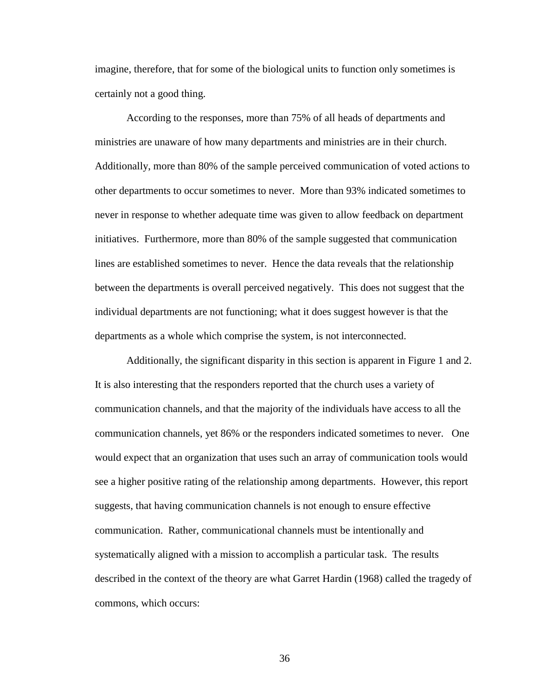imagine, therefore, that for some of the biological units to function only sometimes is certainly not a good thing.

According to the responses, more than 75% of all heads of departments and ministries are unaware of how many departments and ministries are in their church. Additionally, more than 80% of the sample perceived communication of voted actions to other departments to occur sometimes to never. More than 93% indicated sometimes to never in response to whether adequate time was given to allow feedback on department initiatives. Furthermore, more than 80% of the sample suggested that communication lines are established sometimes to never. Hence the data reveals that the relationship between the departments is overall perceived negatively. This does not suggest that the individual departments are not functioning; what it does suggest however is that the departments as a whole which comprise the system, is not interconnected.

Additionally, the significant disparity in this section is apparent in Figure 1 and 2. It is also interesting that the responders reported that the church uses a variety of communication channels, and that the majority of the individuals have access to all the communication channels, yet 86% or the responders indicated sometimes to never. One would expect that an organization that uses such an array of communication tools would see a higher positive rating of the relationship among departments. However, this report suggests, that having communication channels is not enough to ensure effective communication. Rather, communicational channels must be intentionally and systematically aligned with a mission to accomplish a particular task. The results described in the context of the theory are what Garret Hardin (1968) called the tragedy of commons, which occurs: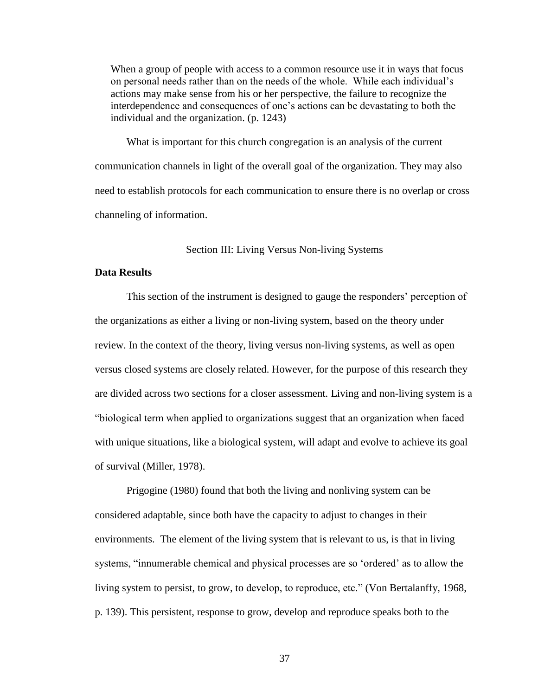When a group of people with access to a common resource use it in ways that focus on personal needs rather than on the needs of the whole. While each individual's actions may make sense from his or her perspective, the failure to recognize the interdependence and consequences of one's actions can be devastating to both the individual and the organization. (p. 1243)

What is important for this church congregation is an analysis of the current communication channels in light of the overall goal of the organization. They may also need to establish protocols for each communication to ensure there is no overlap or cross channeling of information.

#### Section III: Living Versus Non-living Systems

# **Data Results**

This section of the instrument is designed to gauge the responders' perception of the organizations as either a living or non-living system, based on the theory under review. In the context of the theory, living versus non-living systems, as well as open versus closed systems are closely related. However, for the purpose of this research they are divided across two sections for a closer assessment. Living and non-living system is a "biological term when applied to organizations suggest that an organization when faced with unique situations, like a biological system, will adapt and evolve to achieve its goal of survival (Miller, 1978).

Prigogine (1980) found that both the living and nonliving system can be considered adaptable, since both have the capacity to adjust to changes in their environments. The element of the living system that is relevant to us, is that in living systems, "innumerable chemical and physical processes are so 'ordered' as to allow the living system to persist, to grow, to develop, to reproduce, etc." (Von Bertalanffy, 1968, p. 139). This persistent, response to grow, develop and reproduce speaks both to the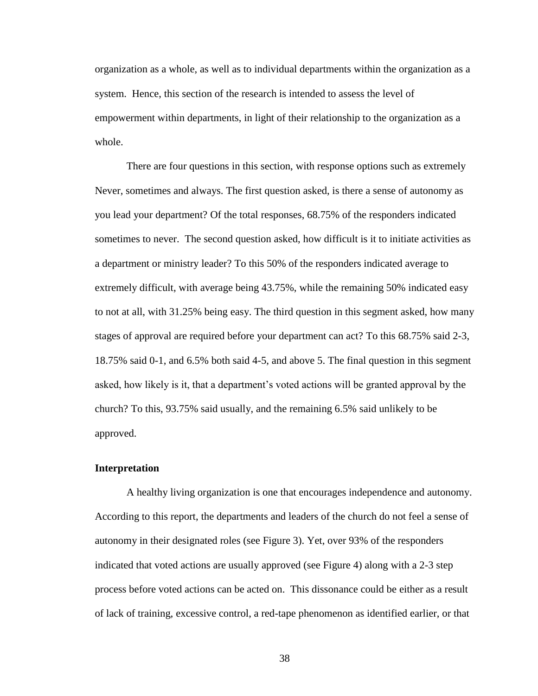organization as a whole, as well as to individual departments within the organization as a system. Hence, this section of the research is intended to assess the level of empowerment within departments, in light of their relationship to the organization as a whole.

There are four questions in this section, with response options such as extremely Never, sometimes and always. The first question asked, is there a sense of autonomy as you lead your department? Of the total responses, 68.75% of the responders indicated sometimes to never. The second question asked, how difficult is it to initiate activities as a department or ministry leader? To this 50% of the responders indicated average to extremely difficult, with average being 43.75%, while the remaining 50% indicated easy to not at all, with 31.25% being easy. The third question in this segment asked, how many stages of approval are required before your department can act? To this 68.75% said 2-3, 18.75% said 0-1, and 6.5% both said 4-5, and above 5. The final question in this segment asked, how likely is it, that a department's voted actions will be granted approval by the church? To this, 93.75% said usually, and the remaining 6.5% said unlikely to be approved.

#### **Interpretation**

A healthy living organization is one that encourages independence and autonomy. According to this report, the departments and leaders of the church do not feel a sense of autonomy in their designated roles (see Figure 3). Yet, over 93% of the responders indicated that voted actions are usually approved (see Figure 4) along with a 2-3 step process before voted actions can be acted on. This dissonance could be either as a result of lack of training, excessive control, a red-tape phenomenon as identified earlier, or that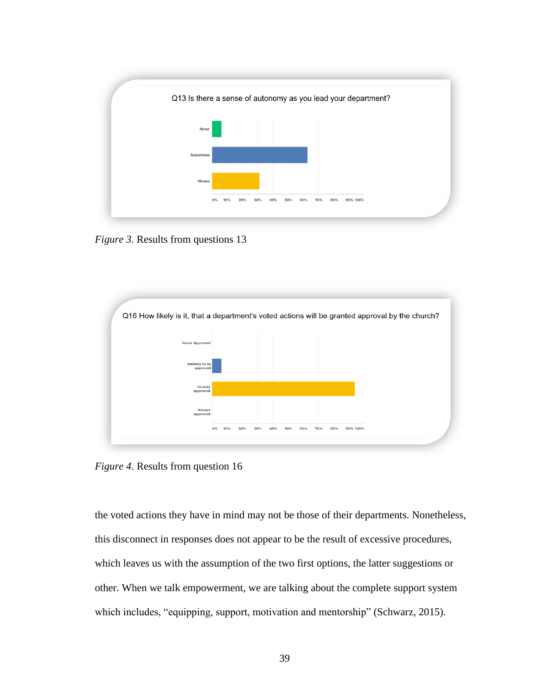

*Figure 3.* Results from questions 13



*Figure 4*. Results from question 16

the voted actions they have in mind may not be those of their departments. Nonetheless, this disconnect in responses does not appear to be the result of excessive procedures, which leaves us with the assumption of the two first options, the latter suggestions or other. When we talk empowerment, we are talking about the complete support system which includes, "equipping, support, motivation and mentorship" (Schwarz, 2015).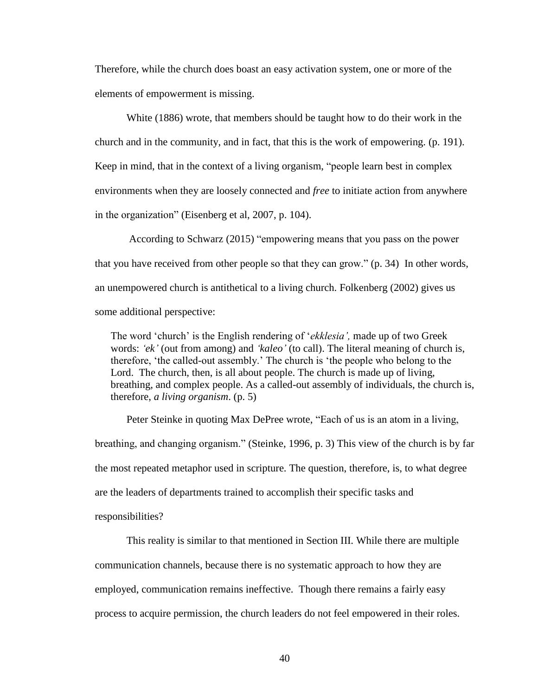Therefore, while the church does boast an easy activation system, one or more of the elements of empowerment is missing.

White (1886) wrote, that members should be taught how to do their work in the church and in the community, and in fact, that this is the work of empowering. (p. 191). Keep in mind, that in the context of a living organism, "people learn best in complex environments when they are loosely connected and *free* to initiate action from anywhere in the organization" (Eisenberg et al, 2007, p. 104).

According to Schwarz (2015) "empowering means that you pass on the power that you have received from other people so that they can grow." (p. 34) In other words, an unempowered church is antithetical to a living church. Folkenberg (2002) gives us some additional perspective:

The word 'church' is the English rendering of '*ekklesia',* made up of two Greek words: *'ek'* (out from among) and *'kaleo'* (to call). The literal meaning of church is, therefore, 'the called-out assembly.' The church is 'the people who belong to the Lord. The church, then, is all about people. The church is made up of living, breathing, and complex people. As a called-out assembly of individuals, the church is, therefore, *a living organism*. (p. 5)

Peter Steinke in quoting Max DePree wrote, "Each of us is an atom in a living, breathing, and changing organism." (Steinke, 1996, p. 3) This view of the church is by far the most repeated metaphor used in scripture. The question, therefore, is, to what degree are the leaders of departments trained to accomplish their specific tasks and responsibilities?

This reality is similar to that mentioned in Section III. While there are multiple communication channels, because there is no systematic approach to how they are employed, communication remains ineffective. Though there remains a fairly easy process to acquire permission, the church leaders do not feel empowered in their roles.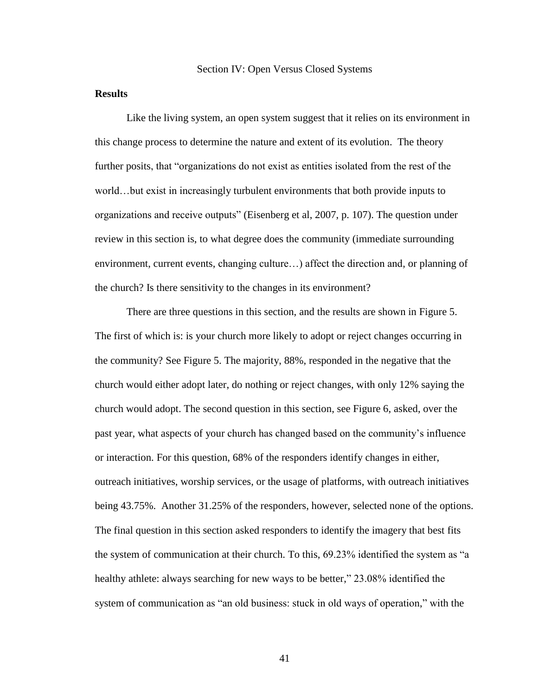### **Results**

Like the living system, an open system suggest that it relies on its environment in this change process to determine the nature and extent of its evolution. The theory further posits, that "organizations do not exist as entities isolated from the rest of the world…but exist in increasingly turbulent environments that both provide inputs to organizations and receive outputs" (Eisenberg et al, 2007, p. 107). The question under review in this section is, to what degree does the community (immediate surrounding environment, current events, changing culture…) affect the direction and, or planning of the church? Is there sensitivity to the changes in its environment?

There are three questions in this section, and the results are shown in Figure 5. The first of which is: is your church more likely to adopt or reject changes occurring in the community? See Figure 5. The majority, 88%, responded in the negative that the church would either adopt later, do nothing or reject changes, with only 12% saying the church would adopt. The second question in this section, see Figure 6, asked, over the past year, what aspects of your church has changed based on the community's influence or interaction. For this question, 68% of the responders identify changes in either, outreach initiatives, worship services, or the usage of platforms, with outreach initiatives being 43.75%. Another 31.25% of the responders, however, selected none of the options. The final question in this section asked responders to identify the imagery that best fits the system of communication at their church. To this, 69.23% identified the system as "a healthy athlete: always searching for new ways to be better," 23.08% identified the system of communication as "an old business: stuck in old ways of operation," with the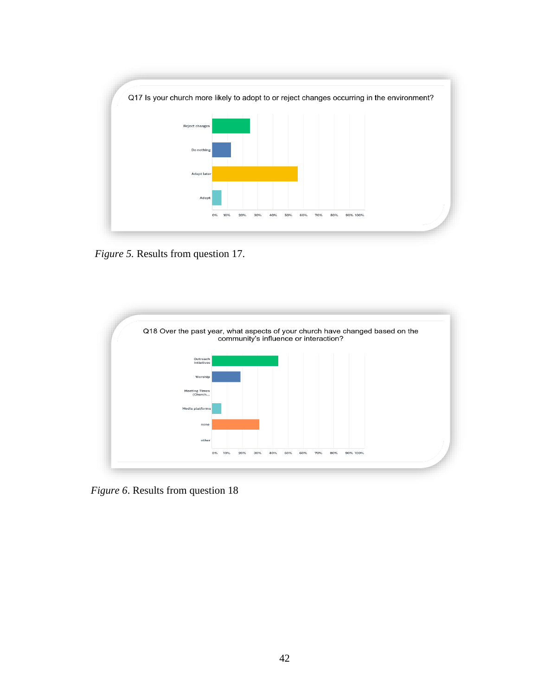

*Figure 5.* Results from question 17.



*Figure 6*. Results from question 18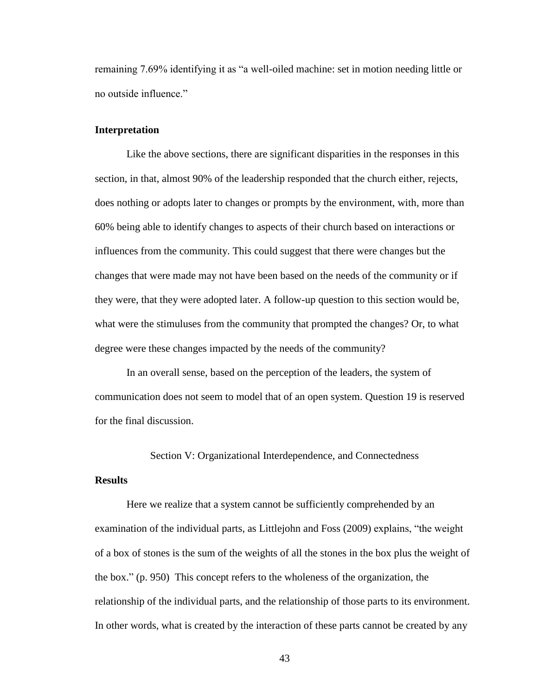remaining 7.69% identifying it as "a well-oiled machine: set in motion needing little or no outside influence."

#### **Interpretation**

Like the above sections, there are significant disparities in the responses in this section, in that, almost 90% of the leadership responded that the church either, rejects, does nothing or adopts later to changes or prompts by the environment, with, more than 60% being able to identify changes to aspects of their church based on interactions or influences from the community. This could suggest that there were changes but the changes that were made may not have been based on the needs of the community or if they were, that they were adopted later. A follow-up question to this section would be, what were the stimuluses from the community that prompted the changes? Or, to what degree were these changes impacted by the needs of the community?

In an overall sense, based on the perception of the leaders, the system of communication does not seem to model that of an open system. Question 19 is reserved for the final discussion.

#### Section V: Organizational Interdependence, and Connectedness

#### **Results**

Here we realize that a system cannot be sufficiently comprehended by an examination of the individual parts, as Littlejohn and Foss (2009) explains, "the weight of a box of stones is the sum of the weights of all the stones in the box plus the weight of the box." (p. 950) This concept refers to the wholeness of the organization, the relationship of the individual parts, and the relationship of those parts to its environment. In other words, what is created by the interaction of these parts cannot be created by any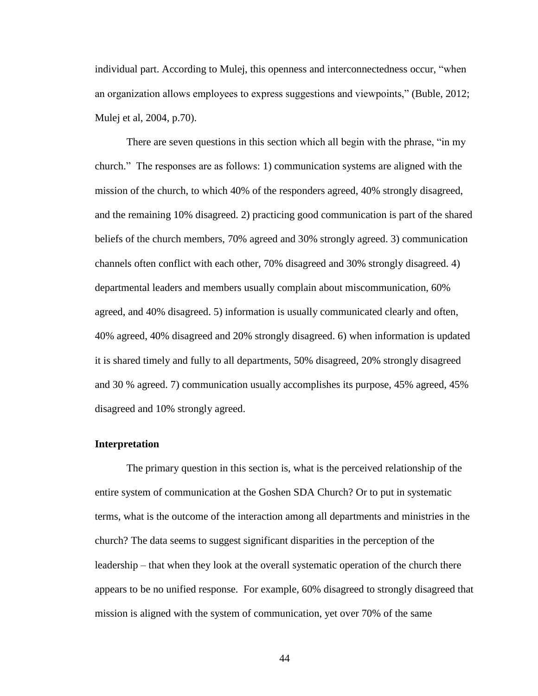individual part. According to Mulej, this openness and interconnectedness occur, "when an organization allows employees to express suggestions and viewpoints," (Buble, 2012; Mulej et al, 2004, p.70).

There are seven questions in this section which all begin with the phrase, "in my church." The responses are as follows: 1) communication systems are aligned with the mission of the church, to which 40% of the responders agreed, 40% strongly disagreed, and the remaining 10% disagreed. 2) practicing good communication is part of the shared beliefs of the church members, 70% agreed and 30% strongly agreed. 3) communication channels often conflict with each other, 70% disagreed and 30% strongly disagreed. 4) departmental leaders and members usually complain about miscommunication, 60% agreed, and 40% disagreed. 5) information is usually communicated clearly and often, 40% agreed, 40% disagreed and 20% strongly disagreed. 6) when information is updated it is shared timely and fully to all departments, 50% disagreed, 20% strongly disagreed and 30 % agreed. 7) communication usually accomplishes its purpose, 45% agreed, 45% disagreed and 10% strongly agreed.

#### **Interpretation**

The primary question in this section is, what is the perceived relationship of the entire system of communication at the Goshen SDA Church? Or to put in systematic terms, what is the outcome of the interaction among all departments and ministries in the church? The data seems to suggest significant disparities in the perception of the leadership – that when they look at the overall systematic operation of the church there appears to be no unified response. For example, 60% disagreed to strongly disagreed that mission is aligned with the system of communication, yet over 70% of the same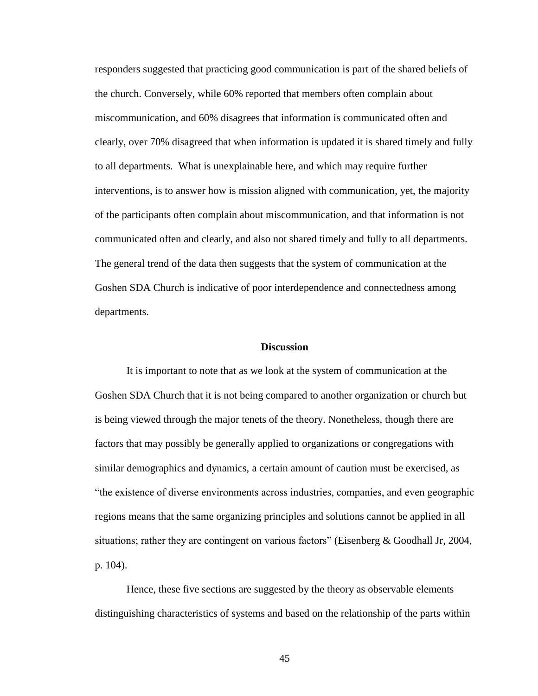responders suggested that practicing good communication is part of the shared beliefs of the church. Conversely, while 60% reported that members often complain about miscommunication, and 60% disagrees that information is communicated often and clearly, over 70% disagreed that when information is updated it is shared timely and fully to all departments. What is unexplainable here, and which may require further interventions, is to answer how is mission aligned with communication, yet, the majority of the participants often complain about miscommunication, and that information is not communicated often and clearly, and also not shared timely and fully to all departments. The general trend of the data then suggests that the system of communication at the Goshen SDA Church is indicative of poor interdependence and connectedness among departments.

#### **Discussion**

It is important to note that as we look at the system of communication at the Goshen SDA Church that it is not being compared to another organization or church but is being viewed through the major tenets of the theory. Nonetheless, though there are factors that may possibly be generally applied to organizations or congregations with similar demographics and dynamics, a certain amount of caution must be exercised, as "the existence of diverse environments across industries, companies, and even geographic regions means that the same organizing principles and solutions cannot be applied in all situations; rather they are contingent on various factors" (Eisenberg & Goodhall Jr, 2004, p. 104).

Hence, these five sections are suggested by the theory as observable elements distinguishing characteristics of systems and based on the relationship of the parts within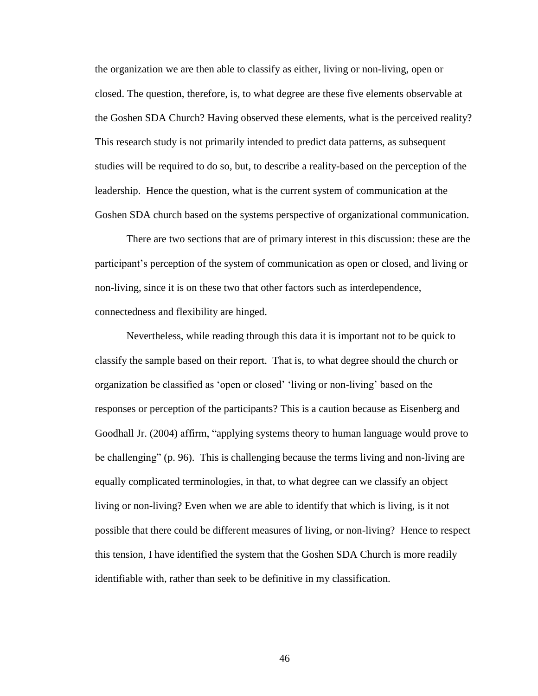the organization we are then able to classify as either, living or non-living, open or closed. The question, therefore, is, to what degree are these five elements observable at the Goshen SDA Church? Having observed these elements, what is the perceived reality? This research study is not primarily intended to predict data patterns, as subsequent studies will be required to do so, but, to describe a reality-based on the perception of the leadership. Hence the question, what is the current system of communication at the Goshen SDA church based on the systems perspective of organizational communication.

There are two sections that are of primary interest in this discussion: these are the participant's perception of the system of communication as open or closed, and living or non-living, since it is on these two that other factors such as interdependence, connectedness and flexibility are hinged.

Nevertheless, while reading through this data it is important not to be quick to classify the sample based on their report. That is, to what degree should the church or organization be classified as 'open or closed' 'living or non-living' based on the responses or perception of the participants? This is a caution because as Eisenberg and Goodhall Jr. (2004) affirm, "applying systems theory to human language would prove to be challenging" (p. 96). This is challenging because the terms living and non-living are equally complicated terminologies, in that, to what degree can we classify an object living or non-living? Even when we are able to identify that which is living, is it not possible that there could be different measures of living, or non-living? Hence to respect this tension, I have identified the system that the Goshen SDA Church is more readily identifiable with, rather than seek to be definitive in my classification.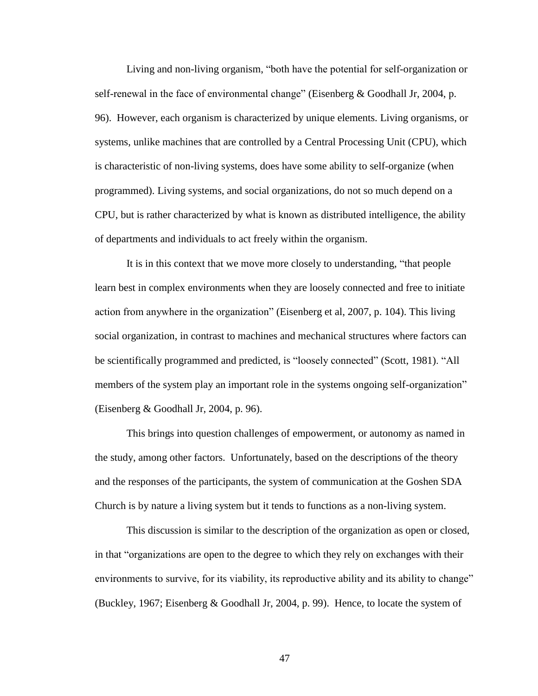Living and non-living organism, "both have the potential for self-organization or self-renewal in the face of environmental change" (Eisenberg & Goodhall Jr, 2004, p. 96). However, each organism is characterized by unique elements. Living organisms, or systems, unlike machines that are controlled by a Central Processing Unit (CPU), which is characteristic of non-living systems, does have some ability to self-organize (when programmed). Living systems, and social organizations, do not so much depend on a CPU, but is rather characterized by what is known as distributed intelligence, the ability of departments and individuals to act freely within the organism.

It is in this context that we move more closely to understanding, "that people learn best in complex environments when they are loosely connected and free to initiate action from anywhere in the organization" (Eisenberg et al, 2007, p. 104). This living social organization, in contrast to machines and mechanical structures where factors can be scientifically programmed and predicted, is "loosely connected" (Scott, 1981). "All members of the system play an important role in the systems ongoing self-organization" (Eisenberg & Goodhall Jr, 2004, p. 96).

This brings into question challenges of empowerment, or autonomy as named in the study, among other factors. Unfortunately, based on the descriptions of the theory and the responses of the participants, the system of communication at the Goshen SDA Church is by nature a living system but it tends to functions as a non-living system.

This discussion is similar to the description of the organization as open or closed, in that "organizations are open to the degree to which they rely on exchanges with their environments to survive, for its viability, its reproductive ability and its ability to change" (Buckley, 1967; Eisenberg & Goodhall Jr, 2004, p. 99). Hence, to locate the system of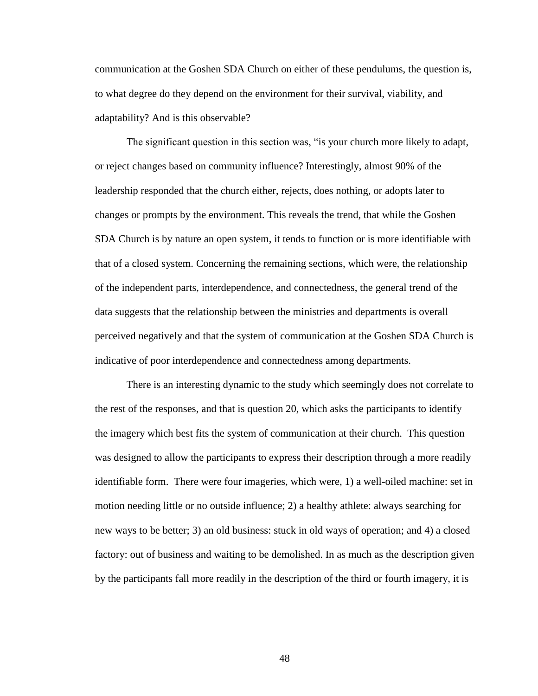communication at the Goshen SDA Church on either of these pendulums, the question is, to what degree do they depend on the environment for their survival, viability, and adaptability? And is this observable?

The significant question in this section was, "is your church more likely to adapt, or reject changes based on community influence? Interestingly, almost 90% of the leadership responded that the church either, rejects, does nothing, or adopts later to changes or prompts by the environment. This reveals the trend, that while the Goshen SDA Church is by nature an open system, it tends to function or is more identifiable with that of a closed system. Concerning the remaining sections, which were, the relationship of the independent parts, interdependence, and connectedness, the general trend of the data suggests that the relationship between the ministries and departments is overall perceived negatively and that the system of communication at the Goshen SDA Church is indicative of poor interdependence and connectedness among departments.

There is an interesting dynamic to the study which seemingly does not correlate to the rest of the responses, and that is question 20, which asks the participants to identify the imagery which best fits the system of communication at their church. This question was designed to allow the participants to express their description through a more readily identifiable form. There were four imageries, which were, 1) a well-oiled machine: set in motion needing little or no outside influence; 2) a healthy athlete: always searching for new ways to be better; 3) an old business: stuck in old ways of operation; and 4) a closed factory: out of business and waiting to be demolished. In as much as the description given by the participants fall more readily in the description of the third or fourth imagery, it is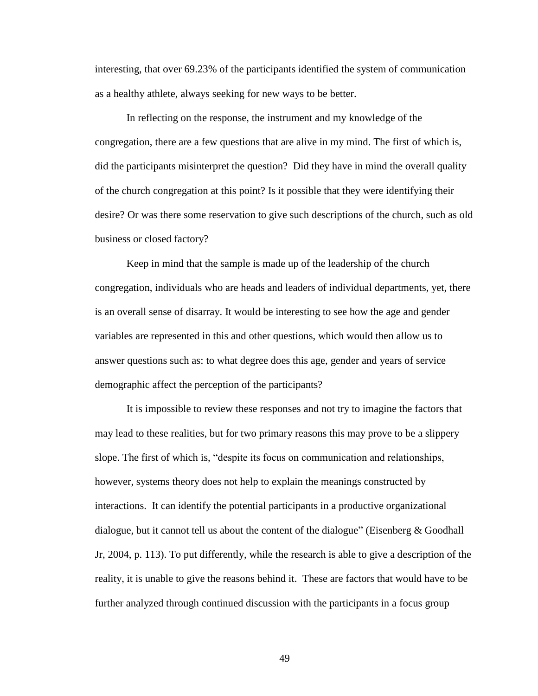interesting, that over 69.23% of the participants identified the system of communication as a healthy athlete, always seeking for new ways to be better.

In reflecting on the response, the instrument and my knowledge of the congregation, there are a few questions that are alive in my mind. The first of which is, did the participants misinterpret the question? Did they have in mind the overall quality of the church congregation at this point? Is it possible that they were identifying their desire? Or was there some reservation to give such descriptions of the church, such as old business or closed factory?

Keep in mind that the sample is made up of the leadership of the church congregation, individuals who are heads and leaders of individual departments, yet, there is an overall sense of disarray. It would be interesting to see how the age and gender variables are represented in this and other questions, which would then allow us to answer questions such as: to what degree does this age, gender and years of service demographic affect the perception of the participants?

It is impossible to review these responses and not try to imagine the factors that may lead to these realities, but for two primary reasons this may prove to be a slippery slope. The first of which is, "despite its focus on communication and relationships, however, systems theory does not help to explain the meanings constructed by interactions. It can identify the potential participants in a productive organizational dialogue, but it cannot tell us about the content of the dialogue" (Eisenberg  $\&$  Goodhall Jr, 2004, p. 113). To put differently, while the research is able to give a description of the reality, it is unable to give the reasons behind it. These are factors that would have to be further analyzed through continued discussion with the participants in a focus group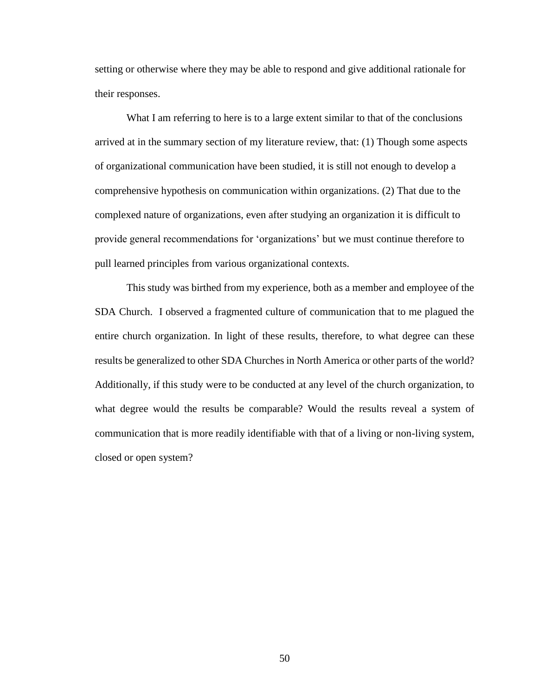setting or otherwise where they may be able to respond and give additional rationale for their responses.

What I am referring to here is to a large extent similar to that of the conclusions arrived at in the summary section of my literature review, that: (1) Though some aspects of organizational communication have been studied, it is still not enough to develop a comprehensive hypothesis on communication within organizations. (2) That due to the complexed nature of organizations, even after studying an organization it is difficult to provide general recommendations for 'organizations' but we must continue therefore to pull learned principles from various organizational contexts.

This study was birthed from my experience, both as a member and employee of the SDA Church. I observed a fragmented culture of communication that to me plagued the entire church organization. In light of these results, therefore, to what degree can these results be generalized to other SDA Churches in North America or other parts of the world? Additionally, if this study were to be conducted at any level of the church organization, to what degree would the results be comparable? Would the results reveal a system of communication that is more readily identifiable with that of a living or non-living system, closed or open system?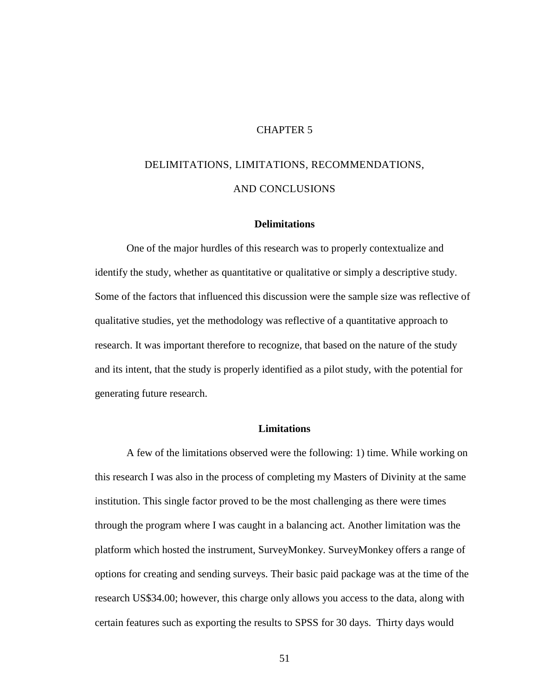#### CHAPTER 5

# DELIMITATIONS, LIMITATIONS, RECOMMENDATIONS, AND CONCLUSIONS

#### **Delimitations**

One of the major hurdles of this research was to properly contextualize and identify the study, whether as quantitative or qualitative or simply a descriptive study. Some of the factors that influenced this discussion were the sample size was reflective of qualitative studies, yet the methodology was reflective of a quantitative approach to research. It was important therefore to recognize, that based on the nature of the study and its intent, that the study is properly identified as a pilot study, with the potential for generating future research.

#### **Limitations**

A few of the limitations observed were the following: 1) time. While working on this research I was also in the process of completing my Masters of Divinity at the same institution. This single factor proved to be the most challenging as there were times through the program where I was caught in a balancing act. Another limitation was the platform which hosted the instrument, SurveyMonkey. SurveyMonkey offers a range of options for creating and sending surveys. Their basic paid package was at the time of the research US\$34.00; however, this charge only allows you access to the data, along with certain features such as exporting the results to SPSS for 30 days. Thirty days would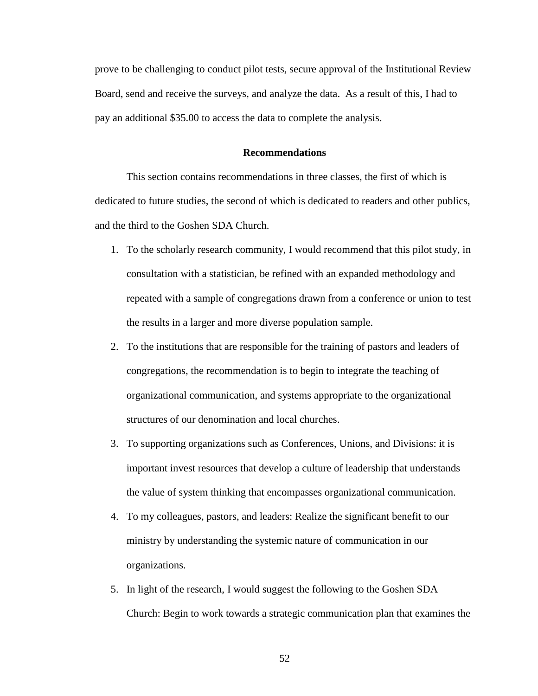prove to be challenging to conduct pilot tests, secure approval of the Institutional Review Board, send and receive the surveys, and analyze the data. As a result of this, I had to pay an additional \$35.00 to access the data to complete the analysis.

#### **Recommendations**

This section contains recommendations in three classes, the first of which is dedicated to future studies, the second of which is dedicated to readers and other publics, and the third to the Goshen SDA Church.

- 1. To the scholarly research community, I would recommend that this pilot study, in consultation with a statistician, be refined with an expanded methodology and repeated with a sample of congregations drawn from a conference or union to test the results in a larger and more diverse population sample.
- 2. To the institutions that are responsible for the training of pastors and leaders of congregations, the recommendation is to begin to integrate the teaching of organizational communication, and systems appropriate to the organizational structures of our denomination and local churches.
- 3. To supporting organizations such as Conferences, Unions, and Divisions: it is important invest resources that develop a culture of leadership that understands the value of system thinking that encompasses organizational communication.
- 4. To my colleagues, pastors, and leaders: Realize the significant benefit to our ministry by understanding the systemic nature of communication in our organizations.
- 5. In light of the research, I would suggest the following to the Goshen SDA Church: Begin to work towards a strategic communication plan that examines the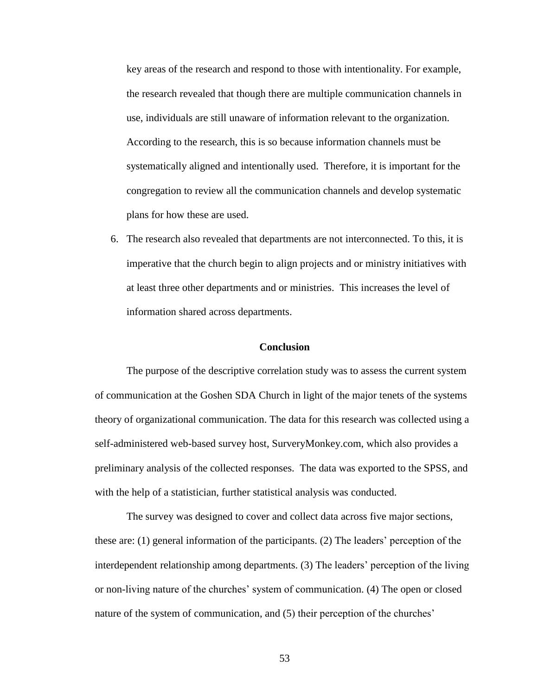key areas of the research and respond to those with intentionality. For example, the research revealed that though there are multiple communication channels in use, individuals are still unaware of information relevant to the organization. According to the research, this is so because information channels must be systematically aligned and intentionally used. Therefore, it is important for the congregation to review all the communication channels and develop systematic plans for how these are used.

6. The research also revealed that departments are not interconnected. To this, it is imperative that the church begin to align projects and or ministry initiatives with at least three other departments and or ministries. This increases the level of information shared across departments.

#### **Conclusion**

The purpose of the descriptive correlation study was to assess the current system of communication at the Goshen SDA Church in light of the major tenets of the systems theory of organizational communication. The data for this research was collected using a self-administered web-based survey host, SurveryMonkey.com, which also provides a preliminary analysis of the collected responses. The data was exported to the SPSS, and with the help of a statistician, further statistical analysis was conducted.

The survey was designed to cover and collect data across five major sections, these are: (1) general information of the participants. (2) The leaders' perception of the interdependent relationship among departments. (3) The leaders' perception of the living or non-living nature of the churches' system of communication. (4) The open or closed nature of the system of communication, and (5) their perception of the churches'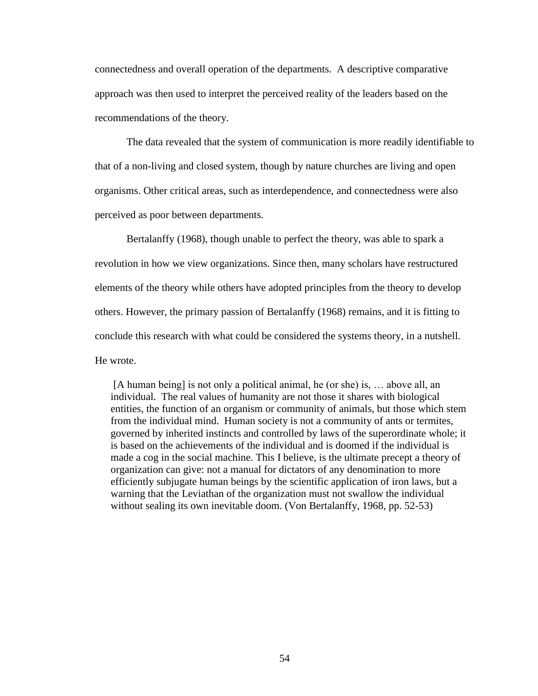connectedness and overall operation of the departments. A descriptive comparative approach was then used to interpret the perceived reality of the leaders based on the recommendations of the theory.

The data revealed that the system of communication is more readily identifiable to that of a non-living and closed system, though by nature churches are living and open organisms. Other critical areas, such as interdependence, and connectedness were also perceived as poor between departments.

Bertalanffy (1968), though unable to perfect the theory, was able to spark a revolution in how we view organizations. Since then, many scholars have restructured elements of the theory while others have adopted principles from the theory to develop others. However, the primary passion of Bertalanffy (1968) remains, and it is fitting to conclude this research with what could be considered the systems theory, in a nutshell. He wrote.

[A human being] is not only a political animal, he (or she) is, … above all, an individual. The real values of humanity are not those it shares with biological entities, the function of an organism or community of animals, but those which stem from the individual mind. Human society is not a community of ants or termites, governed by inherited instincts and controlled by laws of the superordinate whole; it is based on the achievements of the individual and is doomed if the individual is made a cog in the social machine. This I believe, is the ultimate precept a theory of organization can give: not a manual for dictators of any denomination to more efficiently subjugate human beings by the scientific application of iron laws, but a warning that the Leviathan of the organization must not swallow the individual without sealing its own inevitable doom. (Von Bertalanffy, 1968, pp. 52-53)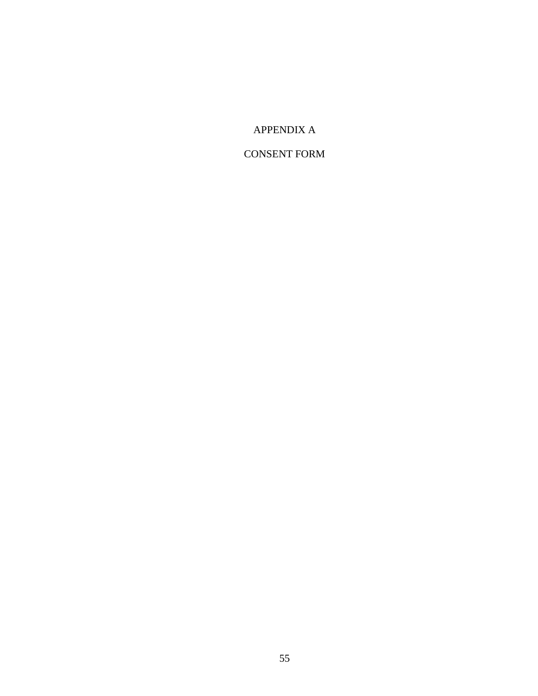# APPENDIX A

# CONSENT FORM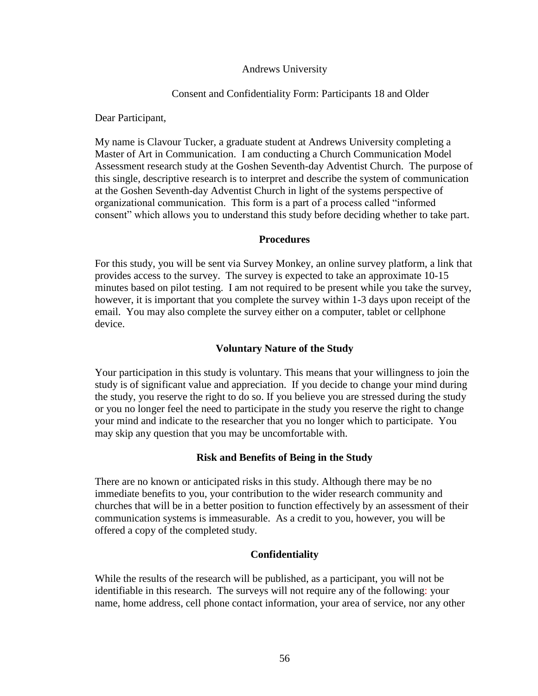### Andrews University

# Consent and Confidentiality Form: Participants 18 and Older

Dear Participant,

My name is Clavour Tucker, a graduate student at Andrews University completing a Master of Art in Communication. I am conducting a Church Communication Model Assessment research study at the Goshen Seventh-day Adventist Church. The purpose of this single, descriptive research is to interpret and describe the system of communication at the Goshen Seventh-day Adventist Church in light of the systems perspective of organizational communication. This form is a part of a process called "informed consent" which allows you to understand this study before deciding whether to take part.

# **Procedures**

For this study, you will be sent via Survey Monkey, an online survey platform, a link that provides access to the survey. The survey is expected to take an approximate 10-15 minutes based on pilot testing. I am not required to be present while you take the survey, however, it is important that you complete the survey within 1-3 days upon receipt of the email. You may also complete the survey either on a computer, tablet or cellphone device.

# **Voluntary Nature of the Study**

Your participation in this study is voluntary. This means that your willingness to join the study is of significant value and appreciation. If you decide to change your mind during the study, you reserve the right to do so. If you believe you are stressed during the study or you no longer feel the need to participate in the study you reserve the right to change your mind and indicate to the researcher that you no longer which to participate. You may skip any question that you may be uncomfortable with.

# **Risk and Benefits of Being in the Study**

There are no known or anticipated risks in this study. Although there may be no immediate benefits to you, your contribution to the wider research community and churches that will be in a better position to function effectively by an assessment of their communication systems is immeasurable. As a credit to you, however, you will be offered a copy of the completed study.

# **Confidentiality**

While the results of the research will be published, as a participant, you will not be identifiable in this research. The surveys will not require any of the following: your name, home address, cell phone contact information, your area of service, nor any other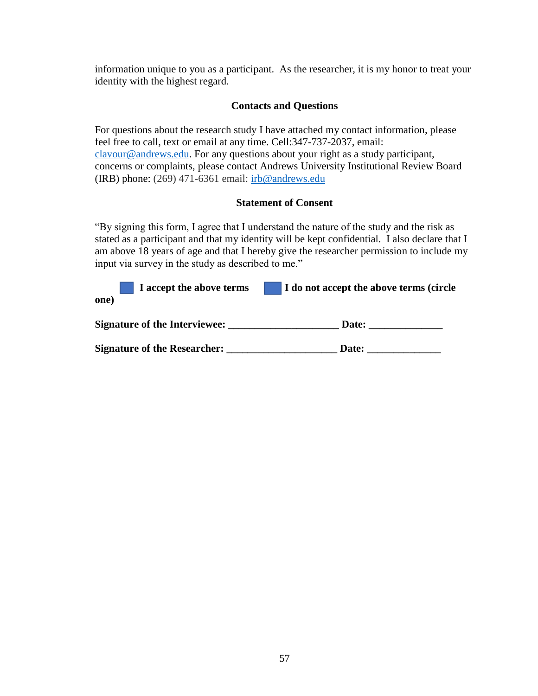information unique to you as a participant. As the researcher, it is my honor to treat your identity with the highest regard.

# **Contacts and Questions**

For questions about the research study I have attached my contact information, please feel free to call, text or email at any time. Cell:347-737-2037, email: [clavour@andrews.edu.](mailto:clavour@andrews.edu) For any questions about your right as a study participant, concerns or complaints, please contact Andrews University Institutional Review Board (IRB) phone: (269) 471-6361 email:  $irb@$  andrews.edu

# **Statement of Consent**

"By signing this form, I agree that I understand the nature of the study and the risk as stated as a participant and that my identity will be kept confidential. I also declare that I am above 18 years of age and that I hereby give the researcher permission to include my input via survey in the study as described to me."

| I accept the above terms<br>one)     | I do not accept the above terms (circle |
|--------------------------------------|-----------------------------------------|
| <b>Signature of the Interviewee:</b> | Date:                                   |
| Signature of the Researcher: _____   | Date:                                   |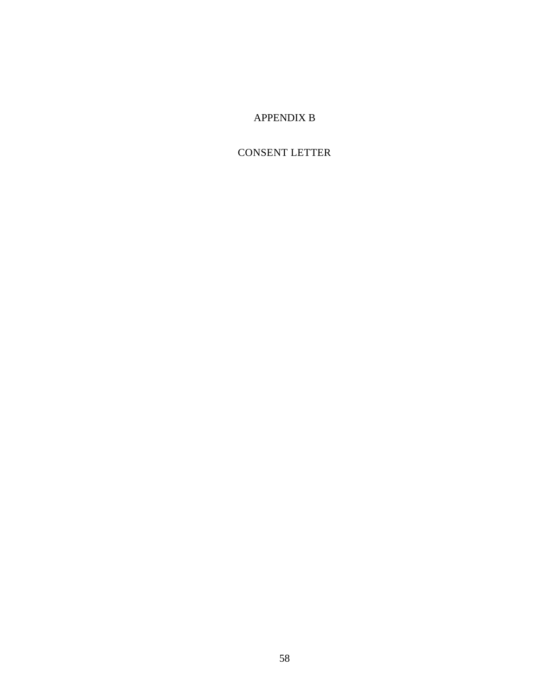# APPENDIX B

# CONSENT LETTER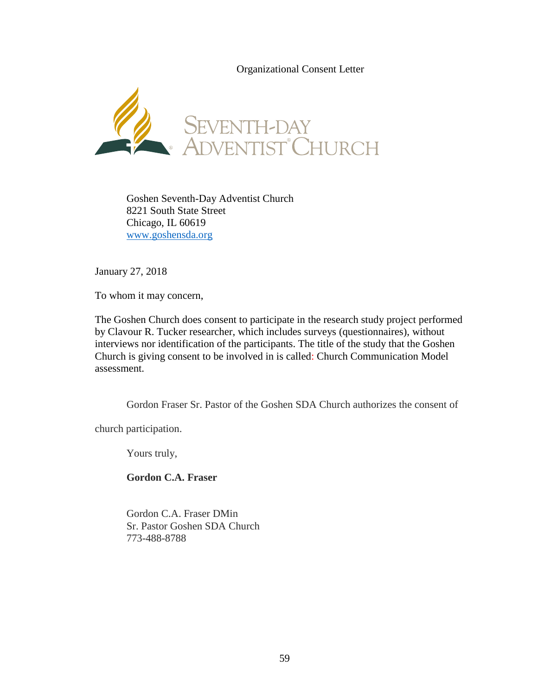Organizational Consent Letter



Goshen Seventh-Day Adventist Church 8221 South State Street Chicago, IL 60619 [www.goshensda.org](http://www.goshensda.org/)

January 27, 2018

To whom it may concern,

The Goshen Church does consent to participate in the research study project performed by Clavour R. Tucker researcher, which includes surveys (questionnaires), without interviews nor identification of the participants. The title of the study that the Goshen Church is giving consent to be involved in is called: Church Communication Model assessment.

Gordon Fraser Sr. Pastor of the Goshen SDA Church authorizes the consent of

church participation.

Yours truly,

**Gordon C.A. Fraser**

Gordon C.A. Fraser DMin Sr. Pastor Goshen SDA Church 773-488-8788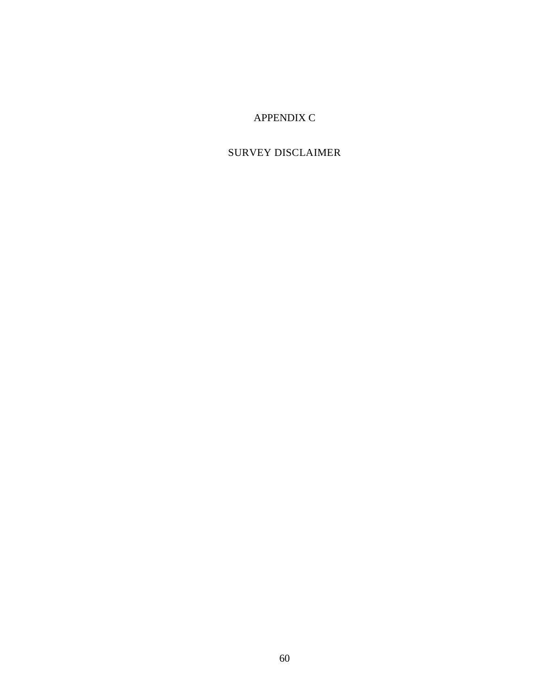## APPENDIX C

## SURVEY DISCLAIMER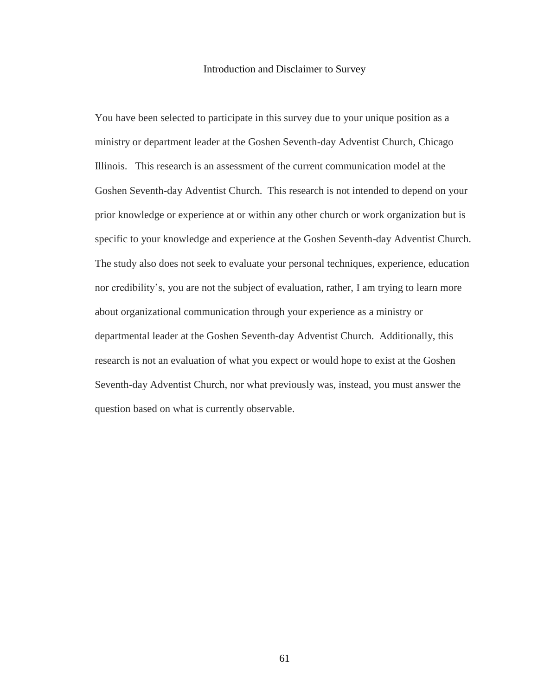#### Introduction and Disclaimer to Survey

You have been selected to participate in this survey due to your unique position as a ministry or department leader at the Goshen Seventh-day Adventist Church, Chicago Illinois. This research is an assessment of the current communication model at the Goshen Seventh-day Adventist Church. This research is not intended to depend on your prior knowledge or experience at or within any other church or work organization but is specific to your knowledge and experience at the Goshen Seventh-day Adventist Church. The study also does not seek to evaluate your personal techniques, experience, education nor credibility's, you are not the subject of evaluation, rather, I am trying to learn more about organizational communication through your experience as a ministry or departmental leader at the Goshen Seventh-day Adventist Church. Additionally, this research is not an evaluation of what you expect or would hope to exist at the Goshen Seventh-day Adventist Church, nor what previously was, instead, you must answer the question based on what is currently observable.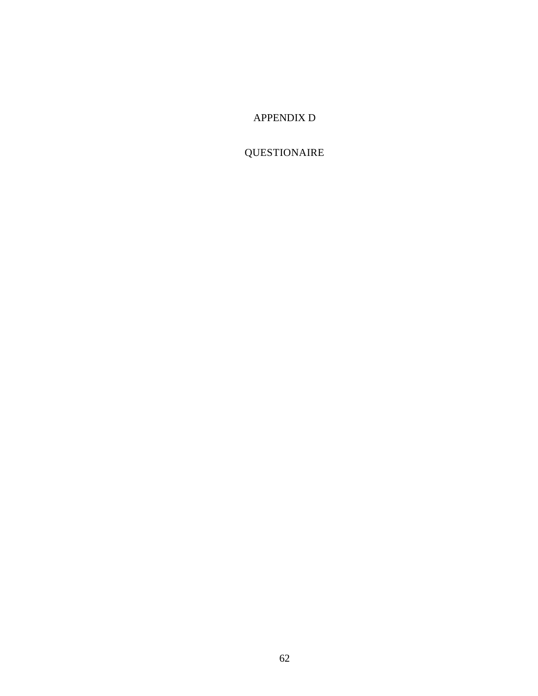## APPENDIX D

# QUESTIONAIRE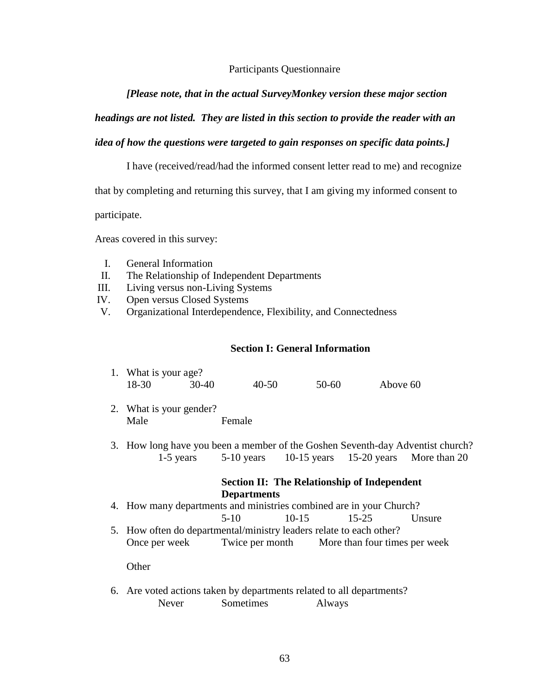### Participants Questionnaire

### *[Please note, that in the actual SurveyMonkey version these major section*

### *headings are not listed. They are listed in this section to provide the reader with an*

## *idea of how the questions were targeted to gain responses on specific data points.]*

I have (received/read/had the informed consent letter read to me) and recognize

that by completing and returning this survey, that I am giving my informed consent to

participate.

Areas covered in this survey:

- I. General Information
- II. The Relationship of Independent Departments
- III. Living versus non-Living Systems
- IV. Open versus Closed Systems
- V. Organizational Interdependence, Flexibility, and Connectedness

#### **Section I: General Information**

|       | 1. What is your age? |           |       |          |  |  |
|-------|----------------------|-----------|-------|----------|--|--|
| 18-30 | 30-40                | $40 - 50$ | 50-60 | Above 60 |  |  |

- 2. What is your gender? Male **Female**
- 3. How long have you been a member of the Goshen Seventh-day Adventist church? 1-5 years 5-10 years 10-15 years 15-20 years More than 20

### **Section II: The Relationship of Independent Departments**

- 4. How many departments and ministries combined are in your Church? 5-10 10-15 15-25 Unsure
- 5. How often do departmental/ministry leaders relate to each other? Once per week Twice per month More than four times per week

**Other** 

6. Are voted actions taken by departments related to all departments? Never Sometimes Always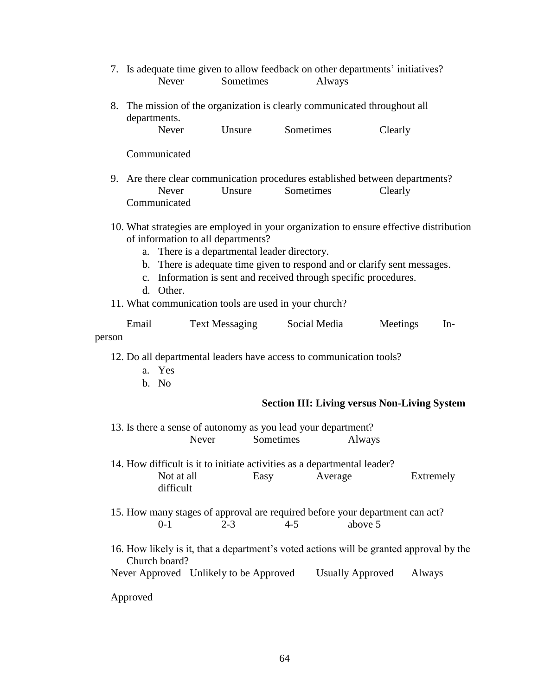- 7. Is adequate time given to allow feedback on other departments' initiatives? Never Sometimes Always
- 8. The mission of the organization is clearly communicated throughout all departments.

| Never | Unsure | Sometimes | Clearly |
|-------|--------|-----------|---------|
|-------|--------|-----------|---------|

Communicated

- 9. Are there clear communication procedures established between departments? Never Unsure Sometimes Clearly Communicated
- 10. What strategies are employed in your organization to ensure effective distribution of information to all departments?
	- a. There is a departmental leader directory.
	- b. There is adequate time given to respond and or clarify sent messages.
	- c. Information is sent and received through specific procedures.
	- d. Other.
- 11. What communication tools are used in your church?

| Email  | <b>Text Messaging</b> | Social Media | Meetings | -In |
|--------|-----------------------|--------------|----------|-----|
| person |                       |              |          |     |

12. Do all departmental leaders have access to communication tools?

- a. Yes
- b. No

### **Section III: Living versus Non-Living System**

| 13. Is there a sense of autonomy as you lead your department? |       |           |        |  |
|---------------------------------------------------------------|-------|-----------|--------|--|
|                                                               | Never | Sometimes | Always |  |

14. How difficult is it to initiate activities as a departmental leader? Not at all Easy Average Extremely difficult

15. How many stages of approval are required before your department can act? 0-1 2-3 4-5 above 5

16. How likely is it, that a department's voted actions will be granted approval by the Church board?

Never Approved Unlikely to be Approved Usually Approved Always

Approved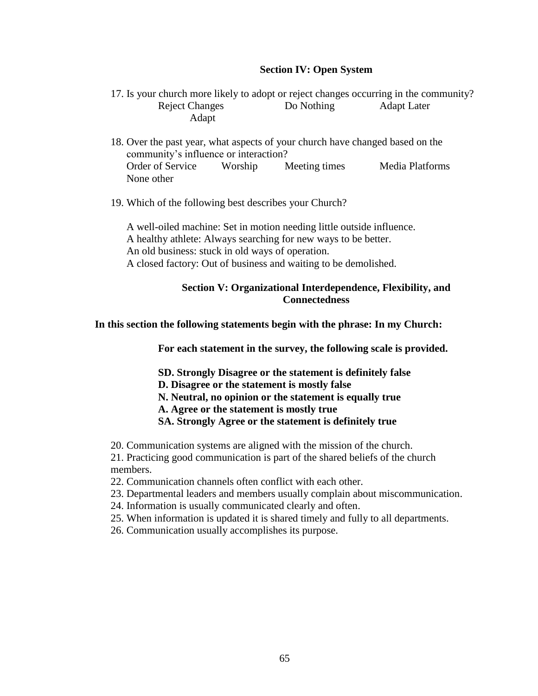### **Section IV: Open System**

- 17. Is your church more likely to adopt or reject changes occurring in the community? Reject Changes Do Nothing Adapt Later Adapt
- 18. Over the past year, what aspects of your church have changed based on the community's influence or interaction? Order of Service Worship Meeting times Media Platforms None other
- 19. Which of the following best describes your Church?

A well-oiled machine: Set in motion needing little outside influence. A healthy athlete: Always searching for new ways to be better. An old business: stuck in old ways of operation. A closed factory: Out of business and waiting to be demolished.

### **Section V: Organizational Interdependence, Flexibility, and Connectedness**

**In this section the following statements begin with the phrase: In my Church:**

**For each statement in the survey, the following scale is provided.**

**SD. Strongly Disagree or the statement is definitely false**

**D. Disagree or the statement is mostly false**

**N. Neutral, no opinion or the statement is equally true**

**A. Agree or the statement is mostly true**

**SA. Strongly Agree or the statement is definitely true**

20. Communication systems are aligned with the mission of the church.

21. Practicing good communication is part of the shared beliefs of the church members.

22. Communication channels often conflict with each other.

- 23. Departmental leaders and members usually complain about miscommunication.
- 24. Information is usually communicated clearly and often.
- 25. When information is updated it is shared timely and fully to all departments.
- 26. Communication usually accomplishes its purpose.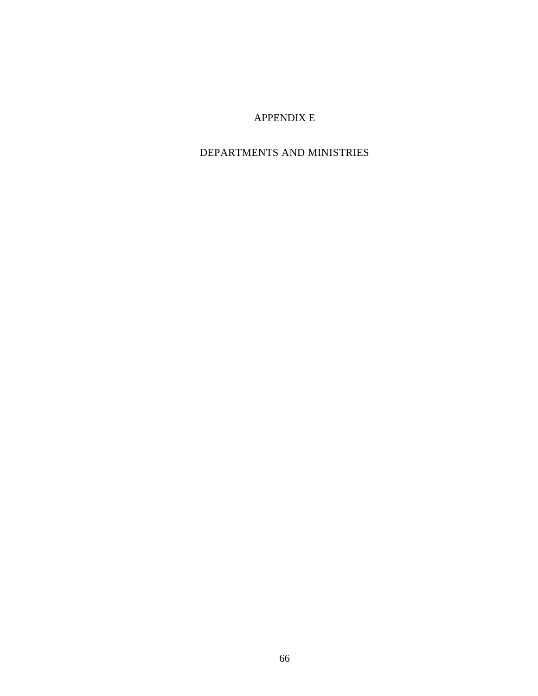## APPENDIX E

## DEPARTMENTS AND MINISTRIES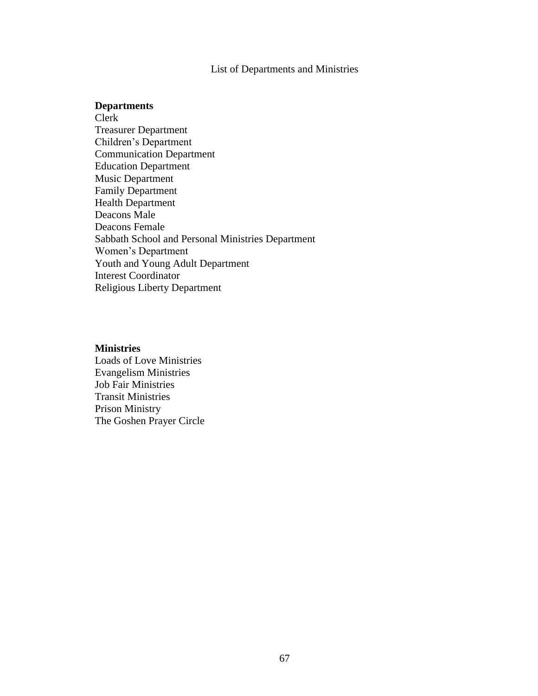## List of Departments and Ministries

#### **Departments**

Clerk Treasurer Department Children's Department Communication Department Education Department Music Department Family Department Health Department Deacons Male Deacons Female Sabbath School and Personal Ministries Department Women's Department Youth and Young Adult Department Interest Coordinator Religious Liberty Department

#### **Ministries**

Loads of Love Ministries Evangelism Ministries Job Fair Ministries Transit Ministries Prison Ministry The Goshen Prayer Circle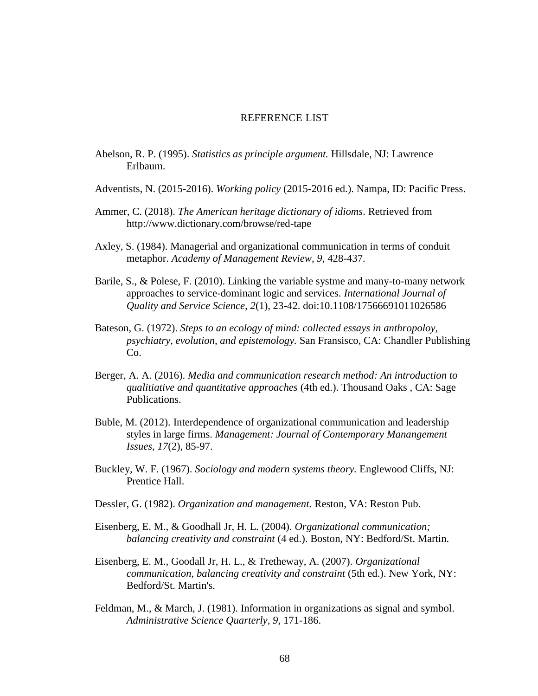### REFERENCE LIST

- Abelson, R. P. (1995). *Statistics as principle argument.* Hillsdale, NJ: Lawrence Erlbaum.
- Adventists, N. (2015-2016). *Working policy* (2015-2016 ed.). Nampa, ID: Pacific Press.
- Ammer, C. (2018). *The American heritage dictionary of idioms*. Retrieved from http://www.dictionary.com/browse/red-tape
- Axley, S. (1984). Managerial and organizational communication in terms of conduit metaphor. *Academy of Management Review, 9*, 428-437.
- Barile, S., & Polese, F. (2010). Linking the variable systme and many-to-many network approaches to service-dominant logic and services. *International Journal of Quality and Service Science, 2*(1), 23-42. doi:10.1108/17566691011026586
- Bateson, G. (1972). *Steps to an ecology of mind: collected essays in anthropoloy, psychiatry, evolution, and epistemology.* San Fransisco, CA: Chandler Publishing Co.
- Berger, A. A. (2016). *Media and communication research method: An introduction to qualitiative and quantitative approaches* (4th ed.). Thousand Oaks , CA: Sage Publications.
- Buble, M. (2012). Interdependence of organizational communication and leadership styles in large firms. *Management: Journal of Contemporary Manangement Issues, 17*(2), 85-97.
- Buckley, W. F. (1967). *Sociology and modern systems theory.* Englewood Cliffs, NJ: Prentice Hall.
- Dessler, G. (1982). *Organization and management.* Reston, VA: Reston Pub.
- Eisenberg, E. M., & Goodhall Jr, H. L. (2004). *Organizational communication; balancing creativity and constraint* (4 ed.). Boston, NY: Bedford/St. Martin.
- Eisenberg, E. M., Goodall Jr, H. L., & Tretheway, A. (2007). *Organizational communication, balancing creativity and constraint* (5th ed.). New York, NY: Bedford/St. Martin's.
- Feldman, M., & March, J. (1981). Information in organizations as signal and symbol. *Administrative Science Quarterly, 9*, 171-186.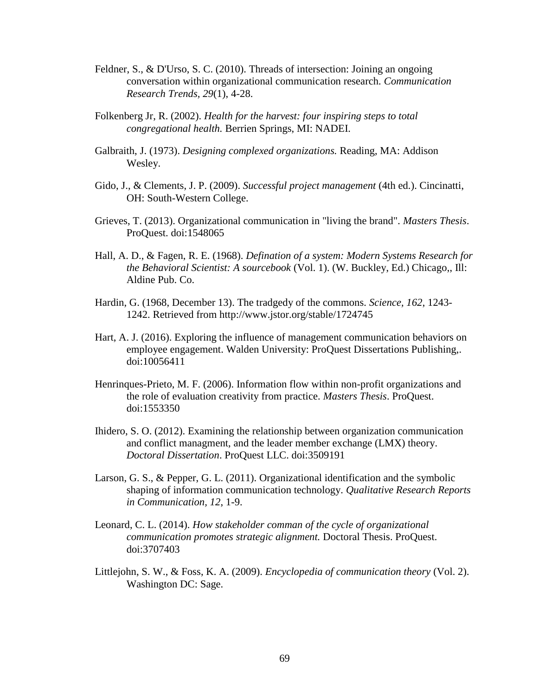- Feldner, S., & D'Urso, S. C. (2010). Threads of intersection: Joining an ongoing conversation within organizational communication research. *Communication Research Trends, 29*(1), 4-28.
- Folkenberg Jr, R. (2002). *Health for the harvest: four inspiring steps to total congregational health.* Berrien Springs, MI: NADEI.
- Galbraith, J. (1973). *Designing complexed organizations.* Reading, MA: Addison Wesley.
- Gido, J., & Clements, J. P. (2009). *Successful project management* (4th ed.). Cincinatti, OH: South-Western College.
- Grieves, T. (2013). Organizational communication in "living the brand". *Masters Thesis*. ProQuest. doi:1548065
- Hall, A. D., & Fagen, R. E. (1968). *Defination of a system: Modern Systems Research for the Behavioral Scientist: A sourcebook* (Vol. 1). (W. Buckley, Ed.) Chicago,, Ill: Aldine Pub. Co.
- Hardin, G. (1968, December 13). The tradgedy of the commons. *Science, 162*, 1243- 1242. Retrieved from http://www.jstor.org/stable/1724745
- Hart, A. J. (2016). Exploring the influence of management communication behaviors on employee engagement. Walden University: ProQuest Dissertations Publishing,. doi:10056411
- Henrinques-Prieto, M. F. (2006). Information flow within non-profit organizations and the role of evaluation creativity from practice. *Masters Thesis*. ProQuest. doi:1553350
- Ihidero, S. O. (2012). Examining the relationship between organization communication and conflict managment, and the leader member exchange (LMX) theory. *Doctoral Dissertation*. ProQuest LLC. doi:3509191
- Larson, G. S., & Pepper, G. L. (2011). Organizational identification and the symbolic shaping of information communication technology. *Qualitative Research Reports in Communication, 12*, 1-9.
- Leonard, C. L. (2014). *How stakeholder comman of the cycle of organizational communication promotes strategic alignment.* Doctoral Thesis. ProQuest. doi:3707403
- Littlejohn, S. W., & Foss, K. A. (2009). *Encyclopedia of communication theory* (Vol. 2). Washington DC: Sage.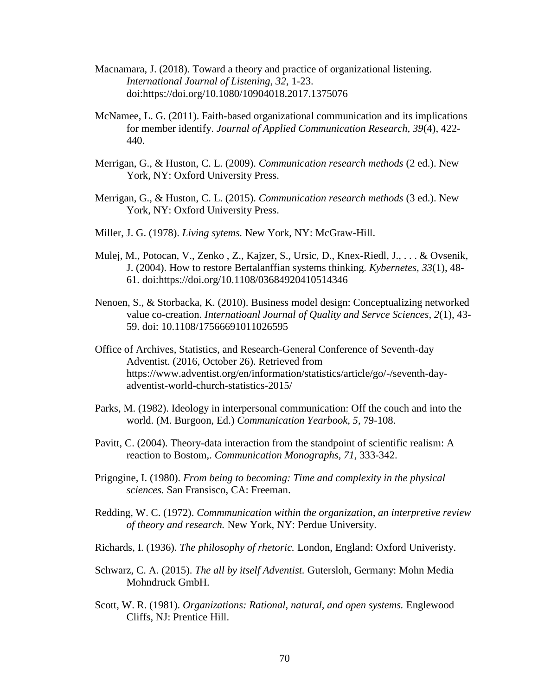- Macnamara, J. (2018). Toward a theory and practice of organizational listening. *International Journal of Listening, 32*, 1-23. doi:https://doi.org/10.1080/10904018.2017.1375076
- McNamee, L. G. (2011). Faith-based organizational communication and its implications for member identify. *Journal of Applied Communication Research, 39*(4), 422- 440.
- Merrigan, G., & Huston, C. L. (2009). *Communication research methods* (2 ed.). New York, NY: Oxford University Press.
- Merrigan, G., & Huston, C. L. (2015). *Communication research methods* (3 ed.). New York, NY: Oxford University Press.
- Miller, J. G. (1978). *Living sytems.* New York, NY: McGraw-Hill.
- Mulej, M., Potocan, V., Zenko , Z., Kajzer, S., Ursic, D., Knex-Riedl, J., . . . & Ovsenik, J. (2004). How to restore Bertalanffian systems thinking. *Kybernetes, 33*(1), 48- 61. doi:https://doi.org/10.1108/03684920410514346
- Nenoen, S., & Storbacka, K. (2010). Business model design: Conceptualizing networked value co-creation. *Internatioanl Journal of Quality and Servce Sciences, 2*(1), 43- 59. doi: 10.1108/17566691011026595
- Office of Archives, Statistics, and Research-General Conference of Seventh-day Adventist. (2016, October 26). Retrieved from https://www.adventist.org/en/information/statistics/article/go/-/seventh-dayadventist-world-church-statistics-2015/
- Parks, M. (1982). Ideology in interpersonal communication: Off the couch and into the world. (M. Burgoon, Ed.) *Communication Yearbook, 5*, 79-108.
- Pavitt, C. (2004). Theory-data interaction from the standpoint of scientific realism: A reaction to Bostom,. *Communication Monographs, 71*, 333-342.
- Prigogine, I. (1980). *From being to becoming: Time and complexity in the physical sciences.* San Fransisco, CA: Freeman.
- Redding, W. C. (1972). *Commmunication within the organization, an interpretive review of theory and research.* New York, NY: Perdue University.
- Richards, I. (1936). *The philosophy of rhetoric.* London, England: Oxford Univeristy.
- Schwarz, C. A. (2015). *The all by itself Adventist.* Gutersloh, Germany: Mohn Media Mohndruck GmbH.
- Scott, W. R. (1981). *Organizations: Rational, natural, and open systems.* Englewood Cliffs, NJ: Prentice Hill.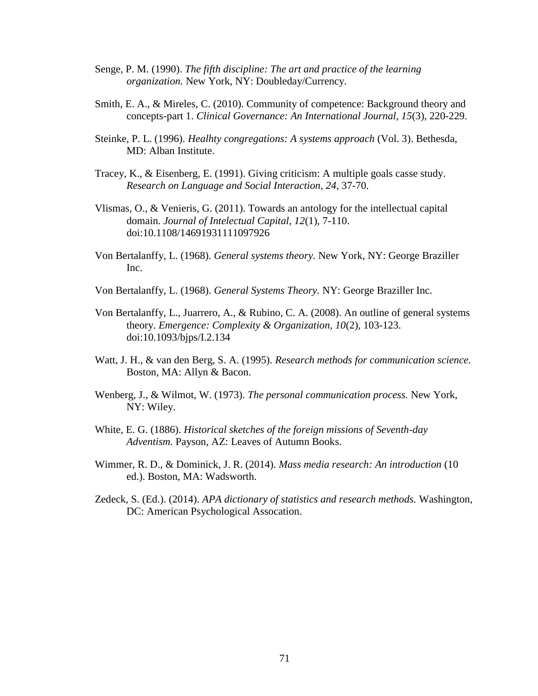- Senge, P. M. (1990). *The fifth discipline: The art and practice of the learning organization.* New York, NY: Doubleday/Currency.
- Smith, E. A., & Mireles, C. (2010). Community of competence: Background theory and concepts-part 1. *Clinical Governance: An International Journal, 15*(3), 220-229.
- Steinke, P. L. (1996). *Healhty congregations: A systems approach* (Vol. 3). Bethesda, MD: Alban Institute.
- Tracey, K., & Eisenberg, E. (1991). Giving criticism: A multiple goals casse study. *Research on Language and Social Interaction, 24*, 37-70.
- Vlismas, O., & Venieris, G. (2011). Towards an antology for the intellectual capital domain. *Journal of Intelectual Capital, 12*(1), 7-110. doi:10.1108/14691931111097926
- Von Bertalanffy, L. (1968). *General systems theory.* New York, NY: George Braziller Inc.
- Von Bertalanffy, L. (1968). *General Systems Theory.* NY: George Braziller Inc.
- Von Bertalanffy, L., Juarrero, A., & Rubino, C. A. (2008). An outline of general systems theory. *Emergence: Complexity & Organization, 10*(2), 103-123. doi:10.1093/bjps/I.2.134
- Watt, J. H., & van den Berg, S. A. (1995). *Research methods for communication science.* Boston, MA: Allyn & Bacon.
- Wenberg, J., & Wilmot, W. (1973). *The personal communication process.* New York, NY: Wiley.
- White, E. G. (1886). *Historical sketches of the foreign missions of Seventh-day Adventism.* Payson, AZ: Leaves of Autumn Books.
- Wimmer, R. D., & Dominick, J. R. (2014). *Mass media research: An introduction* (10 ed.). Boston, MA: Wadsworth.
- Zedeck, S. (Ed.). (2014). *APA dictionary of statistics and research methods.* Washington, DC: American Psychological Assocation.